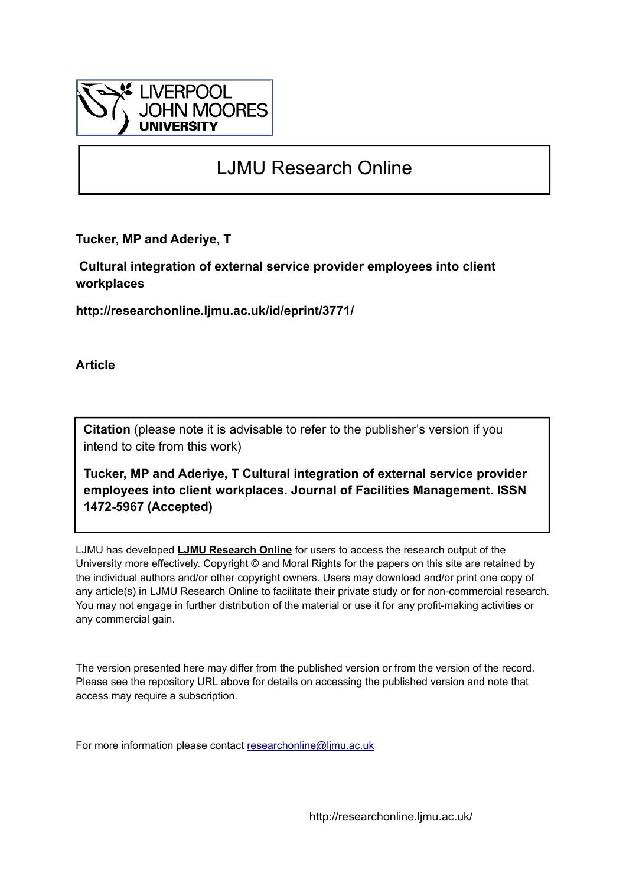

## LJMU Research Online

**Tucker, MP and Aderiye, T**

 **Cultural integration of external service provider employees into client workplaces**

**http://researchonline.ljmu.ac.uk/id/eprint/3771/**

**Article**

**Citation** (please note it is advisable to refer to the publisher's version if you intend to cite from this work)

**Tucker, MP and Aderiye, T Cultural integration of external service provider employees into client workplaces. Journal of Facilities Management. ISSN 1472-5967 (Accepted)** 

LJMU has developed **[LJMU Research Online](http://researchonline.ljmu.ac.uk/)** for users to access the research output of the University more effectively. Copyright © and Moral Rights for the papers on this site are retained by the individual authors and/or other copyright owners. Users may download and/or print one copy of any article(s) in LJMU Research Online to facilitate their private study or for non-commercial research. You may not engage in further distribution of the material or use it for any profit-making activities or any commercial gain.

The version presented here may differ from the published version or from the version of the record. Please see the repository URL above for details on accessing the published version and note that access may require a subscription.

For more information please contact [researchonline@ljmu.ac.uk](mailto:researchonline@ljmu.ac.uk)

http://researchonline.ljmu.ac.uk/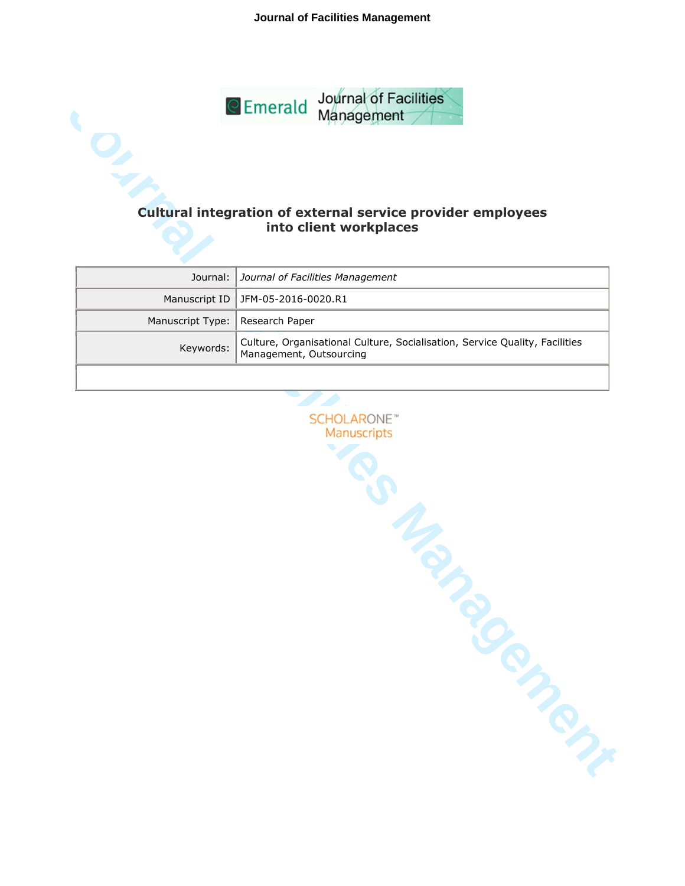**Journal of Facilities Management**



# **into client workplaces**

|                                   | Journal:   Journal of Facilities Management                                           |
|-----------------------------------|---------------------------------------------------------------------------------------|
|                                   | Manuscript ID   JFM-05-2016-0020.R1                                                   |
| Manuscript Type:   Research Paper |                                                                                       |
|                                   | Keywords: Culture, Organisational Culture, Socialisation, Service Quality, Facilities |
|                                   |                                                                                       |

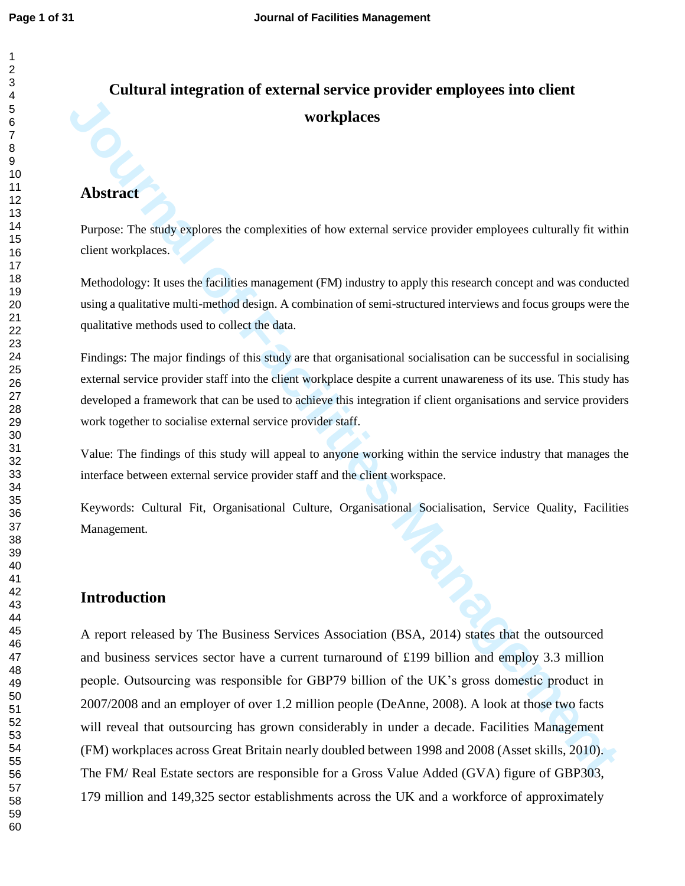## **Cultural integration of external service provider employees into client workplaces**

### **Abstract**

Purpose: The study explores the complexities of how external service provider employees culturally fit within client workplaces.

Methodology: It uses the facilities management (FM) industry to apply this research concept and was conducted using a qualitative multi-method design. A combination of semi-structured interviews and focus groups were the qualitative methods used to collect the data.

Findings: The major findings of this study are that organisational socialisation can be successful in socialising external service provider staff into the client workplace despite a current unawareness of its use. This study has developed a framework that can be used to achieve this integration if client organisations and service providers work together to socialise external service provider staff.

Value: The findings of this study will appeal to anyone working within the service industry that manages the interface between external service provider staff and the client workspace.

Keywords: Cultural Fit, Organisational Culture, Organisational Socialisation, Service Quality, Facilities Management.

## **Introduction**

**Journal of Facilitation**<br> **Journal of Facility and Complexites of low external service provide employees culturally fit with<br>
Perpose: The study explores the complexities of low external service provide employees cultural** A report released by The Business Services Association (BSA, 2014) states that the outsourced and business services sector have a current turnaround of £199 billion and employ 3.3 million people. Outsourcing was responsible for GBP79 billion of the UK's gross domestic product in 2007/2008 and an employer of over 1.2 million people (DeAnne, 2008). A look at those two facts will reveal that outsourcing has grown considerably in under a decade. Facilities Management (FM) workplaces across Great Britain nearly doubled between 1998 and 2008 (Asset skills, 2010). The FM/ Real Estate sectors are responsible for a Gross Value Added (GVA) figure of GBP303, 179 million and 149,325 sector establishments across the UK and a workforce of approximately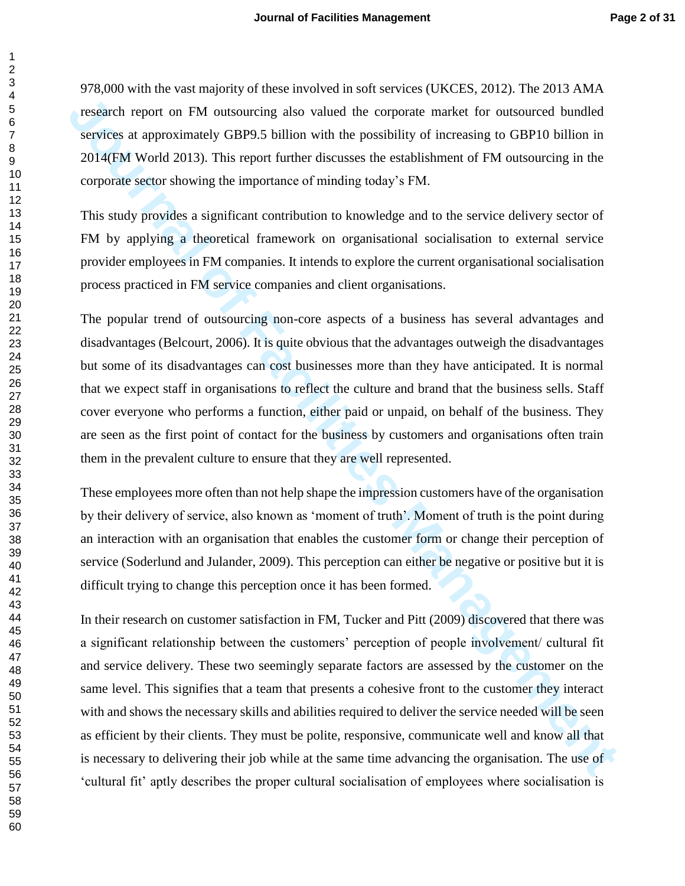978,000 with the vast majority of these involved in soft services (UKCES, 2012). The 2013 AMA research report on FM outsourcing also valued the corporate market for outsourced bundled services at approximately GBP9.5 billion with the possibility of increasing to GBP10 billion in 2014(FM World 2013). This report further discusses the establishment of FM outsourcing in the corporate sector showing the importance of minding today's FM.

This study provides a significant contribution to knowledge and to the service delivery sector of FM by applying a theoretical framework on organisational socialisation to external service provider employees in FM companies. It intends to explore the current organisational socialisation process practiced in FM service companies and client organisations.

The popular trend of outsourcing non-core aspects of a business has several advantages and disadvantages (Belcourt, 2006). It is quite obvious that the advantages outweigh the disadvantages but some of its disadvantages can cost businesses more than they have anticipated. It is normal that we expect staff in organisations to reflect the culture and brand that the business sells. Staff cover everyone who performs a function, either paid or unpaid, on behalf of the business. They are seen as the first point of contact for the business by customers and organisations often train them in the prevalent culture to ensure that they are well represented.

These employees more often than not help shape the impression customers have of the organisation by their delivery of service, also known as 'moment of truth'. Moment of truth is the point during an interaction with an organisation that enables the customer form or change their perception of service (Soderlund and Julander, 2009). This perception can either be negative or positive but it is difficult trying to change this perception once it has been formed.

*Postarch report on FM outwarring stoc valued the corporate market for outwarred bunded***<br><b>Services a approximately GBP5.5 billion with the possibility of increasing to GBP10 billion in<br>2014(IM Worth 2013). This report fur** In their research on customer satisfaction in FM, Tucker and Pitt (2009) discovered that there was a significant relationship between the customers' perception of people involvement/ cultural fit and service delivery. These two seemingly separate factors are assessed by the customer on the same level. This signifies that a team that presents a cohesive front to the customer they interact with and shows the necessary skills and abilities required to deliver the service needed will be seen as efficient by their clients. They must be polite, responsive, communicate well and know all that is necessary to delivering their job while at the same time advancing the organisation. The use of 'cultural fit' aptly describes the proper cultural socialisation of employees where socialisation is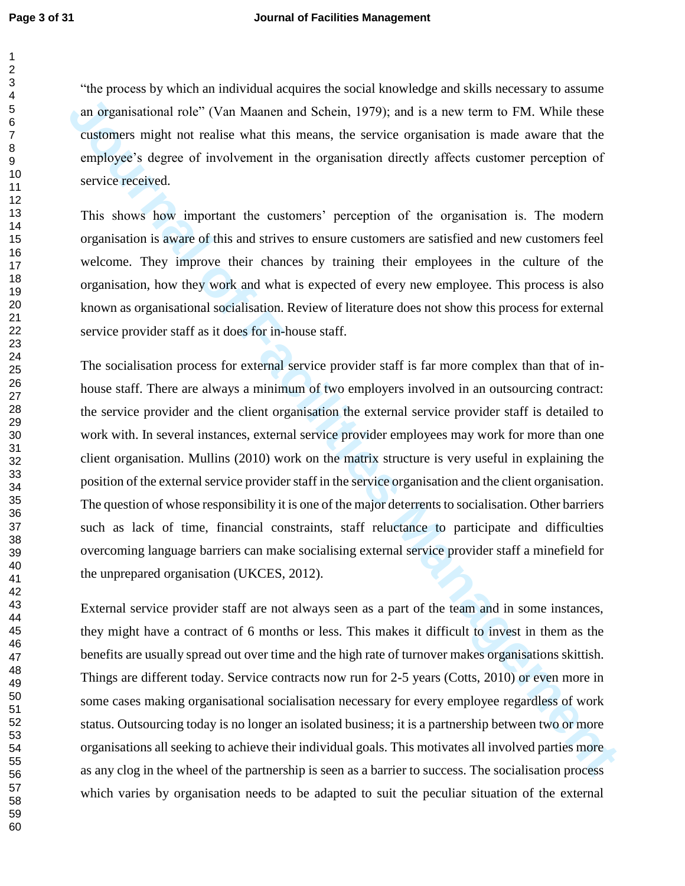"the process by which an individual acquires the social knowledge and skills necessary to assume an organisational role" (Van Maanen and Schein, 1979); and is a new term to FM. While these customers might not realise what this means, the service organisation is made aware that the employee's degree of involvement in the organisation directly affects customer perception of service received.

This shows how important the customers' perception of the organisation is. The modern organisation is aware of this and strives to ensure customers are satisfied and new customers feel welcome. They improve their chances by training their employees in the culture of the organisation, how they work and what is expected of every new employee. This process is also known as organisational socialisation. Review of literature does not show this process for external service provider staff as it does for in-house staff.

am argumisational role" (Van Mannen and Schein, 1979); and is a new term to FM. While these<br>customers anight not realise what this means, the service organisation is made aware that the<br>enveloper's degree of involvement i The socialisation process for external service provider staff is far more complex than that of inhouse staff. There are always a minimum of two employers involved in an outsourcing contract: the service provider and the client organisation the external service provider staff is detailed to work with. In several instances, external service provider employees may work for more than one client organisation. Mullins (2010) work on the matrix structure is very useful in explaining the position of the external service provider staff in the service organisation and the client organisation. The question of whose responsibility it is one of the major deterrents to socialisation. Other barriers such as lack of time, financial constraints, staff reluctance to participate and difficulties overcoming language barriers can make socialising external service provider staff a minefield for the unprepared organisation (UKCES, 2012).

External service provider staff are not always seen as a part of the team and in some instances, they might have a contract of 6 months or less. This makes it difficult to invest in them as the benefits are usually spread out over time and the high rate of turnover makes organisations skittish. Things are different today. Service contracts now run for 2-5 years (Cotts, 2010) or even more in some cases making organisational socialisation necessary for every employee regardless of work status. Outsourcing today is no longer an isolated business; it is a partnership between two or more organisations all seeking to achieve their individual goals. This motivates all involved parties more as any clog in the wheel of the partnership is seen as a barrier to success. The socialisation process which varies by organisation needs to be adapted to suit the peculiar situation of the external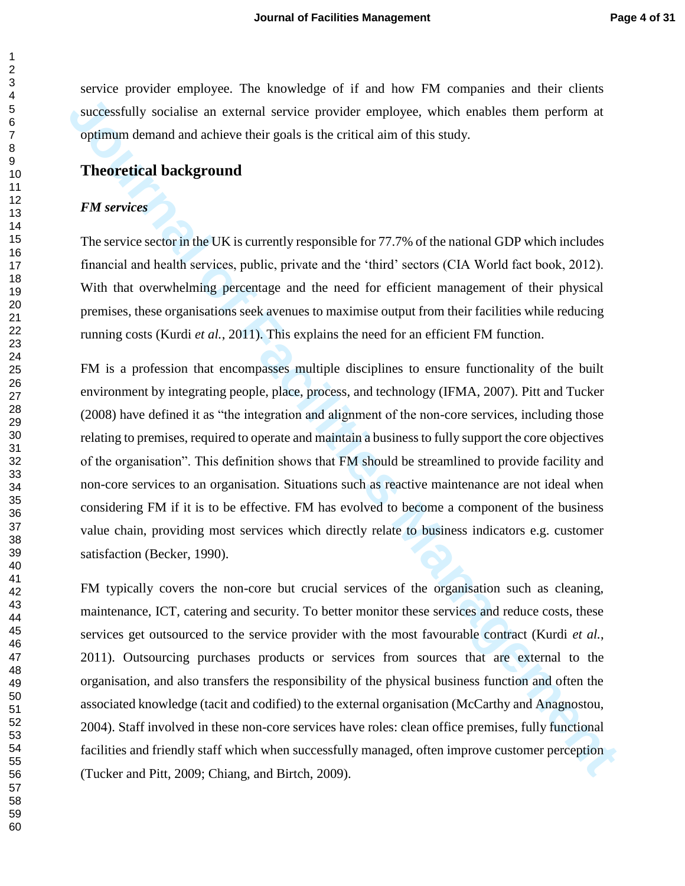service provider employee. The knowledge of if and how FM companies and their clients successfully socialise an external service provider employee, which enables them perform at optimum demand and achieve their goals is the critical aim of this study.

#### **Theoretical background**

#### *FM services*

The service sector in the UK is currently responsible for 77.7% of the national GDP which includes financial and health services, public, private and the 'third' sectors (CIA World fact book, 2012). With that overwhelming percentage and the need for efficient management of their physical premises, these organisations seek avenues to maximise output from their facilities while reducing running costs (Kurdi *et al.*, 2011). This explains the need for an efficient FM function.

successfully socialise an external service provider employee, which enables them perform at optitium denand and achieve their goals is the critical aim of this study.<br> **Theoretical background**<br> *FM services* eccor in th FM is a profession that encompasses multiple disciplines to ensure functionality of the built environment by integrating people, place, process, and technology (IFMA, 2007). Pitt and Tucker (2008) have defined it as "the integration and alignment of the non-core services, including those relating to premises, required to operate and maintain a business to fully support the core objectives of the organisation". This definition shows that FM should be streamlined to provide facility and non-core services to an organisation. Situations such as reactive maintenance are not ideal when considering FM if it is to be effective. FM has evolved to become a component of the business value chain, providing most services which directly relate to business indicators e.g. customer satisfaction (Becker, 1990).

FM typically covers the non-core but crucial services of the organisation such as cleaning, maintenance, ICT, catering and security. To better monitor these services and reduce costs, these services get outsourced to the service provider with the most favourable contract (Kurdi *et al.*, 2011). Outsourcing purchases products or services from sources that are external to the organisation, and also transfers the responsibility of the physical business function and often the associated knowledge (tacit and codified) to the external organisation (McCarthy and Anagnostou, 2004). Staff involved in these non-core services have roles: clean office premises, fully functional facilities and friendly staff which when successfully managed, often improve customer perception (Tucker and Pitt, 2009; Chiang, and Birtch, 2009).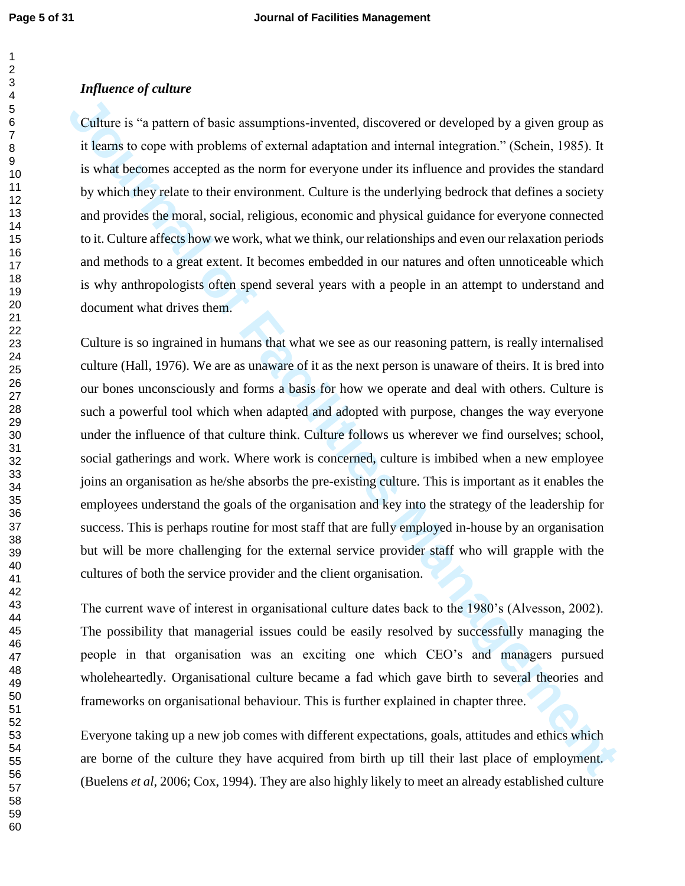#### *Influence of culture*

Culture is "a pattern of basic assumptions-invented, discovered or developed by a given group as it learns to cope with problems of external adaptation and internal integration." (Schein, 1985). It is what becomes accepted as the norm for everyone under its influence and provides the standard by which they relate to their environment. Culture is the underlying bedrock that defines a society and provides the moral, social, religious, economic and physical guidance for everyone connected to it. Culture affects how we work, what we think, our relationships and even our relaxation periods and methods to a great extent. It becomes embedded in our natures and often unnoticeable which is why anthropologists often spend several years with a people in an attempt to understand and document what drives them.

**Culture is "a pattern of basic assumptions invented, discovered or developed by a given group as it learns to cope with problems of extennal adoptation and internal integration." (Schein, 1985). It is what becomes accepte** Culture is so ingrained in humans that what we see as our reasoning pattern, is really internalised culture (Hall, 1976). We are as unaware of it as the next person is unaware of theirs. It is bred into our bones unconsciously and forms a basis for how we operate and deal with others. Culture is such a powerful tool which when adapted and adopted with purpose, changes the way everyone under the influence of that culture think. Culture follows us wherever we find ourselves; school, social gatherings and work. Where work is concerned, culture is imbibed when a new employee joins an organisation as he/she absorbs the pre-existing culture. This is important as it enables the employees understand the goals of the organisation and key into the strategy of the leadership for success. This is perhaps routine for most staff that are fully employed in-house by an organisation but will be more challenging for the external service provider staff who will grapple with the cultures of both the service provider and the client organisation.

The current wave of interest in organisational culture dates back to the 1980's (Alvesson, 2002). The possibility that managerial issues could be easily resolved by successfully managing the people in that organisation was an exciting one which CEO's and managers pursued wholeheartedly. Organisational culture became a fad which gave birth to several theories and frameworks on organisational behaviour. This is further explained in chapter three.

Everyone taking up a new job comes with different expectations, goals, attitudes and ethics which are borne of the culture they have acquired from birth up till their last place of employment. (Buelens *et al*, 2006; Cox, 1994). They are also highly likely to meet an already established culture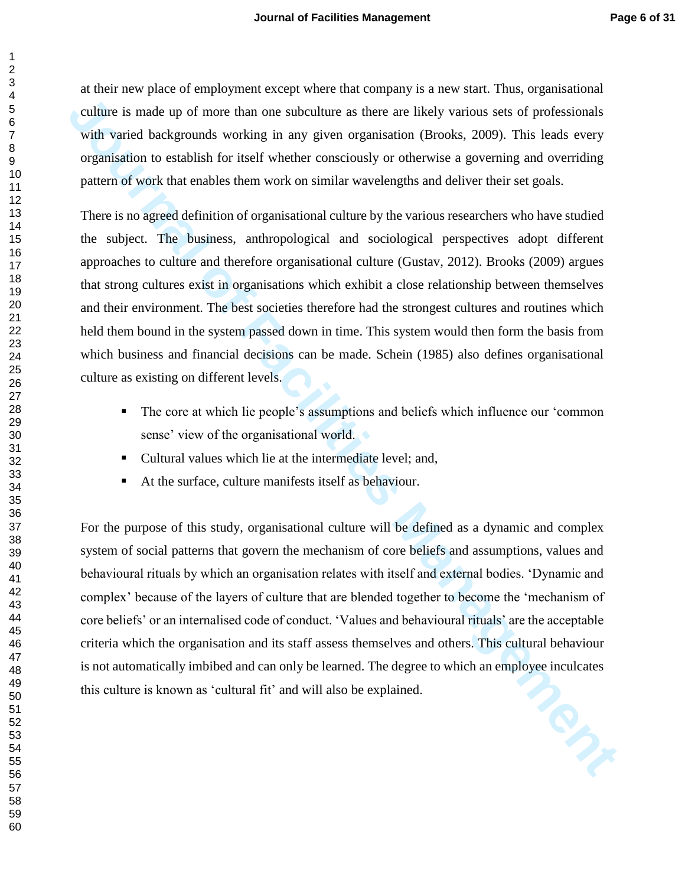at their new place of employment except where that company is a new start. Thus, organisational culture is made up of more than one subculture as there are likely various sets of professionals with varied backgrounds working in any given organisation (Brooks, 2009). This leads every organisation to establish for itself whether consciously or otherwise a governing and overriding pattern of work that enables them work on similar wavelengths and deliver their set goals.

There is no agreed definition of organisational culture by the various researchers who have studied the subject. The business, anthropological and sociological perspectives adopt different approaches to culture and therefore organisational culture (Gustav, 2012). Brooks (2009) argues that strong cultures exist in organisations which exhibit a close relationship between themselves and their environment. The best societies therefore had the strongest cultures and routines which held them bound in the system passed down in time. This system would then form the basis from which business and financial decisions can be made. Schein (1985) also defines organisational culture as existing on different levels.

- The core at which lie people's assumptions and beliefs which influence our 'common sense' view of the organisational world.
- Cultural values which lie at the intermediate level: and,
- At the surface, culture manifests itself as behaviour.

culture is made up of more than one subculture as there are likely various sets of professionals<br>with varied backgrounds working in any given organisation (Brooks, 2009). This leads every<br>organisation to establish for tis For the purpose of this study, organisational culture will be defined as a dynamic and complex system of social patterns that govern the mechanism of core beliefs and assumptions, values and behavioural rituals by which an organisation relates with itself and external bodies. 'Dynamic and complex' because of the layers of culture that are blended together to become the 'mechanism of core beliefs' or an internalised code of conduct. 'Values and behavioural rituals' are the acceptable criteria which the organisation and its staff assess themselves and others. This cultural behaviour is not automatically imbibed and can only be learned. The degree to which an employee inculcates this culture is known as 'cultural fit' and will also be explained.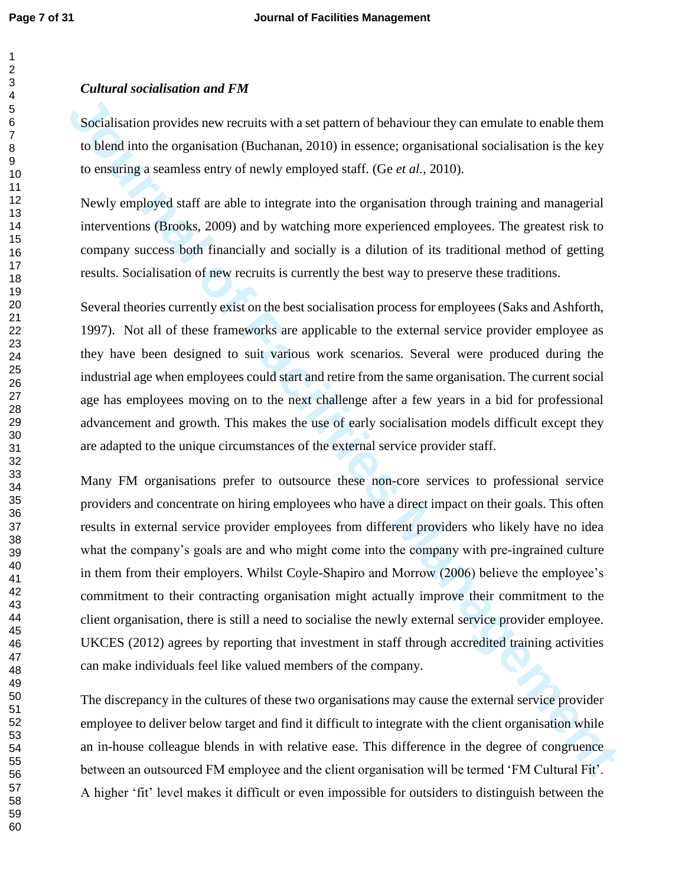#### *Cultural socialisation and FM*

Socialisation provides new recruits with a set pattern of behaviour they can emulate to enable them to blend into the organisation (Buchanan, 2010) in essence; organisational socialisation is the key to ensuring a seamless entry of newly employed staff. (Ge *et al.,* 2010).

Newly employed staff are able to integrate into the organisation through training and managerial interventions (Brooks, 2009) and by watching more experienced employees. The greatest risk to company success both financially and socially is a dilution of its traditional method of getting results. Socialisation of new recruits is currently the best way to preserve these traditions.

Several theories currently exist on the best socialisation process for employees (Saks and Ashforth, 1997). Not all of these frameworks are applicable to the external service provider employee as they have been designed to suit various work scenarios. Several were produced during the industrial age when employees could start and retire from the same organisation. The current social age has employees moving on to the next challenge after a few years in a bid for professional advancement and growth. This makes the use of early socialisation models difficult except they are adapted to the unique circumstances of the external service provider staff.

Socialisation provides new recruits with a set pattern of behaviour they can entubate to enable them<br>to blend into the organisation (Buchanan, 2010) in essence, organisational socialisation is the key<br>to ensuring a seamles Many FM organisations prefer to outsource these non-core services to professional service providers and concentrate on hiring employees who have a direct impact on their goals. This often results in external service provider employees from different providers who likely have no idea what the company's goals are and who might come into the company with pre-ingrained culture in them from their employers. Whilst Coyle-Shapiro and Morrow (2006) believe the employee's commitment to their contracting organisation might actually improve their commitment to the client organisation, there is still a need to socialise the newly external service provider employee. UKCES (2012) agrees by reporting that investment in staff through accredited training activities can make individuals feel like valued members of the company.

The discrepancy in the cultures of these two organisations may cause the external service provider employee to deliver below target and find it difficult to integrate with the client organisation while an in-house colleague blends in with relative ease. This difference in the degree of congruence between an outsourced FM employee and the client organisation will be termed 'FM Cultural Fit'. A higher 'fit' level makes it difficult or even impossible for outsiders to distinguish between the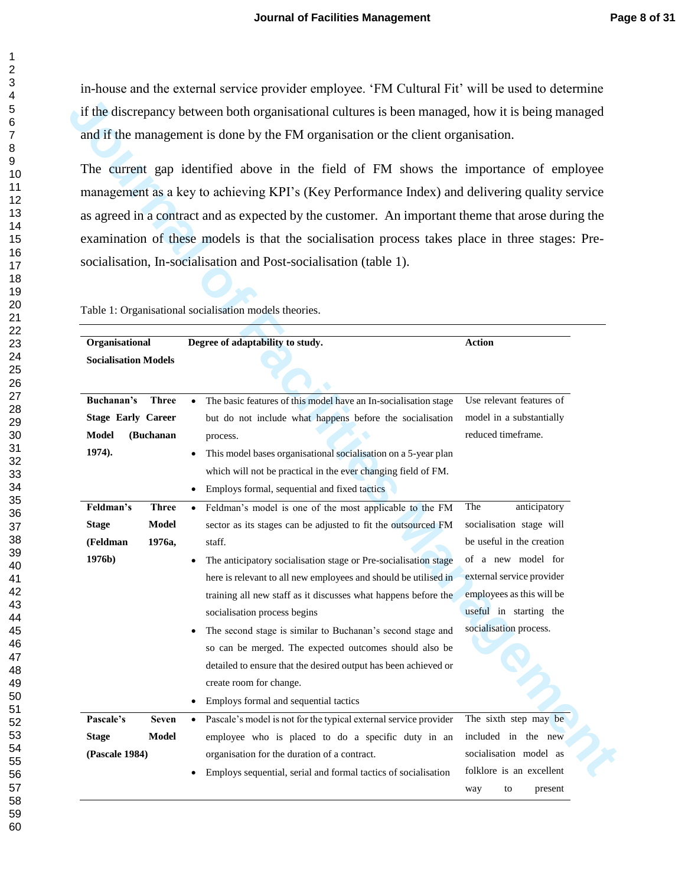in-house and the external service provider employee. 'FM Cultural Fit' will be used to determine if the discrepancy between both organisational cultures is been managed, how it is being managed and if the management is done by the FM organisation or the client organisation.

|                                                            |                                 | if the discrepancy between both organisational cultures is been managed, how it is being managed                                                                                                                                                                                                                                                                                                                                                                                                                                                                                                                                                       |                                                                                                                                                                                                                  |
|------------------------------------------------------------|---------------------------------|--------------------------------------------------------------------------------------------------------------------------------------------------------------------------------------------------------------------------------------------------------------------------------------------------------------------------------------------------------------------------------------------------------------------------------------------------------------------------------------------------------------------------------------------------------------------------------------------------------------------------------------------------------|------------------------------------------------------------------------------------------------------------------------------------------------------------------------------------------------------------------|
|                                                            |                                 | and if the management is done by the FM organisation or the client organisation.                                                                                                                                                                                                                                                                                                                                                                                                                                                                                                                                                                       |                                                                                                                                                                                                                  |
|                                                            |                                 | The current gap identified above in the field of FM shows the importance of employee<br>management as a key to achieving KPI's (Key Performance Index) and delivering quality service<br>as agreed in a contract and as expected by the customer. An important theme that arose during the<br>examination of these models is that the socialisation process takes place in three stages: Pre-<br>socialisation, In-socialisation and Post-socialisation (table 1).<br>Table 1: Organisational socialisation models theories.                                                                                                                           |                                                                                                                                                                                                                  |
| Organisational                                             |                                 | Degree of adaptability to study.                                                                                                                                                                                                                                                                                                                                                                                                                                                                                                                                                                                                                       | <b>Action</b>                                                                                                                                                                                                    |
| <b>Socialisation Models</b>                                |                                 |                                                                                                                                                                                                                                                                                                                                                                                                                                                                                                                                                                                                                                                        |                                                                                                                                                                                                                  |
| Buchanan's<br><b>Stage Early Career</b><br>Model<br>1974). | <b>Three</b><br>(Buchanan       | The basic features of this model have an In-socialisation stage<br>$\bullet$<br>but do not include what happens before the socialisation<br>process.<br>This model bases organisational socialisation on a 5-year plan<br>$\bullet$<br>which will not be practical in the ever changing field of FM.<br>• Employs formal, sequential and fixed tactics                                                                                                                                                                                                                                                                                                 | Use relevant features of<br>model in a substantially<br>reduced timeframe.                                                                                                                                       |
| Feldman's<br><b>Stage</b><br>(Feldman<br>1976b)            | <b>Three</b><br>Model<br>1976a, | Feldman's model is one of the most applicable to the FM<br>$\bullet$<br>sector as its stages can be adjusted to fit the outsourced FM<br>staff.<br>The anticipatory socialisation stage or Pre-socialisation stage<br>here is relevant to all new employees and should be utilised in<br>training all new staff as it discusses what happens before the<br>socialisation process begins<br>The second stage is similar to Buchanan's second stage and<br>so can be merged. The expected outcomes should also be<br>detailed to ensure that the desired output has been achieved or<br>create room for change.<br>Employs formal and sequential tactics | anticipatory<br>The<br>socialisation stage will<br>be useful in the creation<br>of a new model for<br>external service provider<br>employees as this will be<br>useful in starting the<br>socialisation process. |
| Pascale's<br><b>Stage</b><br>(Pascale 1984)                | <b>Seven</b><br>Model           | Pascale's model is not for the typical external service provider<br>employee who is placed to do a specific duty in an<br>organisation for the duration of a contract.<br>Employs sequential, serial and formal tactics of socialisation                                                                                                                                                                                                                                                                                                                                                                                                               | The sixth step may be<br>included in the new<br>socialisation model as<br>folklore is an excellent<br>to<br>present<br>way                                                                                       |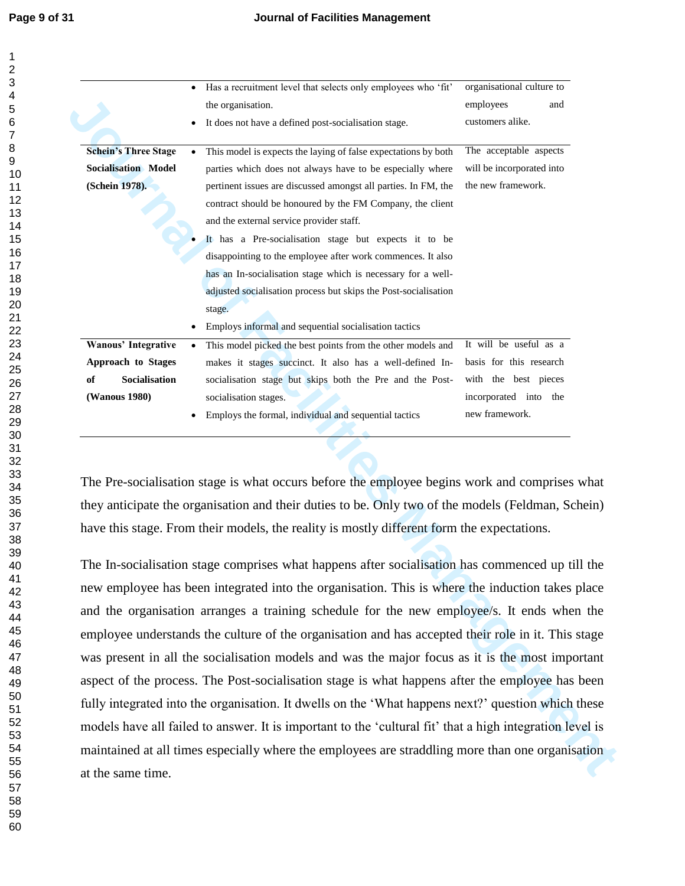|                             |           | Has a recruitment level that selects only employees who 'fit'                                            | organisational culture to |
|-----------------------------|-----------|----------------------------------------------------------------------------------------------------------|---------------------------|
|                             |           | the organisation.                                                                                        | employees<br>and          |
|                             |           | It does not have a defined post-socialisation stage.                                                     | customers alike.          |
| <b>Schein's Three Stage</b> |           | This model is expects the laying of false expectations by both                                           | The acceptable aspects    |
| <b>Socialisation Model</b>  |           | parties which does not always have to be especially where                                                | will be incorporated into |
| (Schein 1978).              |           | pertinent issues are discussed amongst all parties. In FM, the                                           | the new framework.        |
|                             |           | contract should be honoured by the FM Company, the client                                                |                           |
|                             |           | and the external service provider staff.                                                                 |                           |
|                             |           | It has a Pre-socialisation stage but expects it to be                                                    |                           |
|                             |           | disappointing to the employee after work commences. It also                                              |                           |
|                             |           | has an In-socialisation stage which is necessary for a well-                                             |                           |
|                             |           | adjusted socialisation process but skips the Post-socialisation                                          |                           |
|                             |           | stage.                                                                                                   |                           |
|                             |           | Employs informal and sequential socialisation tactics                                                    |                           |
| Wanous' Integrative         | $\bullet$ | This model picked the best points from the other models and                                              | It will be useful as a    |
| Approach to Stages          |           | makes it stages succinct. It also has a well-defined In-                                                 | basis for this research   |
| Socialisation<br>of         |           | socialisation stage but skips both the Pre and the Post-                                                 | with the best pieces      |
| (Wanous 1980)               |           | socialisation stages.                                                                                    | incorporated into the     |
|                             |           | Employs the formal, individual and sequential tactics                                                    | new framework.            |
|                             |           | The Pre-socialisation stage is what occurs before the employee begins work and comprises what            |                           |
|                             |           | they anticipate the organisation and their duties to be. Only two of the models (Feldman, Schein)        |                           |
|                             |           | have this stage. From their models, the reality is mostly different form the expectations.               |                           |
|                             |           |                                                                                                          |                           |
|                             |           | The In-socialisation stage comprises what happens after socialisation has commenced up till the          |                           |
|                             |           | new employee has been integrated into the organisation. This is where the induction takes place          |                           |
|                             |           | and the organisation arranges a training schedule for the new employee/s. It ends when the               |                           |
|                             |           | employee understands the culture of the organisation and has accepted their role in it. This stage       |                           |
|                             |           | was present in all the socialisation models and was the major focus as it is the most important          |                           |
|                             |           | aspect of the process. The Post-socialisation stage is what happens after the employee has been          |                           |
|                             |           |                                                                                                          |                           |
|                             |           | fully integrated into the organisation. It dwells on the 'What happens next?' question which these       |                           |
|                             |           | models have all failed to answer. It is important to the 'cultural fit' that a high integration level is |                           |
|                             |           | maintained at all times especially where the employees are straddling more than one organisation         |                           |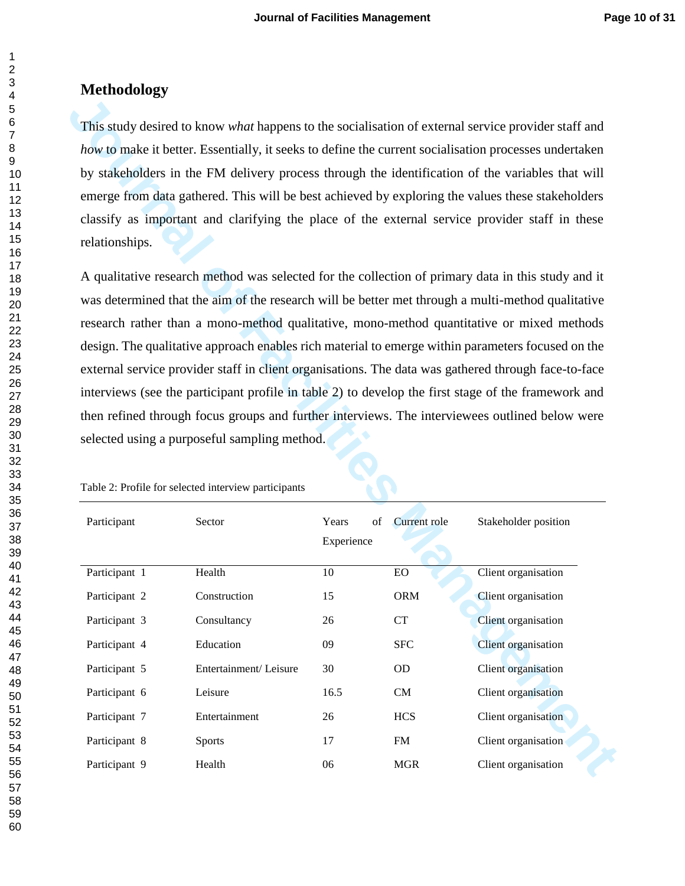#### **Methodology**

|                                                                                                   | This study desired to know what happens to the socialisation of external service provider staff and   |             |                    |                      |  |  |  |  |
|---------------------------------------------------------------------------------------------------|-------------------------------------------------------------------------------------------------------|-------------|--------------------|----------------------|--|--|--|--|
|                                                                                                   | how to make it better. Essentially, it seeks to define the current socialisation processes undertaken |             |                    |                      |  |  |  |  |
|                                                                                                   | by stakeholders in the FM delivery process through the identification of the variables that will      |             |                    |                      |  |  |  |  |
|                                                                                                   | emerge from data gathered. This will be best achieved by exploring the values these stakeholders      |             |                    |                      |  |  |  |  |
|                                                                                                   | classify as important and clarifying the place of the external service provider staff in these        |             |                    |                      |  |  |  |  |
| relationships.                                                                                    |                                                                                                       |             |                    |                      |  |  |  |  |
|                                                                                                   | A qualitative research method was selected for the collection of primary data in this study and it    |             |                    |                      |  |  |  |  |
| was determined that the aim of the research will be better met through a multi-method qualitative |                                                                                                       |             |                    |                      |  |  |  |  |
|                                                                                                   | research rather than a mono-method qualitative, mono-method quantitative or mixed methods             |             |                    |                      |  |  |  |  |
|                                                                                                   | design. The qualitative approach enables rich material to emerge within parameters focused on the     |             |                    |                      |  |  |  |  |
|                                                                                                   | external service provider staff in client organisations. The data was gathered through face-to-face   |             |                    |                      |  |  |  |  |
|                                                                                                   | interviews (see the participant profile in table 2) to develop the first stage of the framework and   |             |                    |                      |  |  |  |  |
|                                                                                                   |                                                                                                       |             |                    |                      |  |  |  |  |
| then refined through focus groups and further interviews. The interviewees outlined below were    |                                                                                                       |             |                    |                      |  |  |  |  |
|                                                                                                   |                                                                                                       |             |                    |                      |  |  |  |  |
|                                                                                                   | selected using a purposeful sampling method.                                                          |             |                    |                      |  |  |  |  |
|                                                                                                   | Table 2: Profile for selected interview participants                                                  |             |                    |                      |  |  |  |  |
| Participant                                                                                       | Sector                                                                                                | Years<br>of | Current role       | Stakeholder position |  |  |  |  |
|                                                                                                   |                                                                                                       | Experience  |                    |                      |  |  |  |  |
|                                                                                                   |                                                                                                       |             |                    |                      |  |  |  |  |
| Participant 1                                                                                     | Health                                                                                                | 10          | EO                 | Client organisation  |  |  |  |  |
| Participant 2                                                                                     | Construction                                                                                          | 15          | <b>ORM</b>         | Client organisation  |  |  |  |  |
| Participant 3                                                                                     | Consultancy                                                                                           | 26          | ${\cal C}{\cal T}$ | Client organisation  |  |  |  |  |
| Participant 4                                                                                     | Education                                                                                             | 09          | <b>SFC</b>         | Client organisation  |  |  |  |  |
| Participant 5                                                                                     | Entertainment/Leisure                                                                                 | 30          | OD                 | Client organisation  |  |  |  |  |
| Participant 6                                                                                     | Leisure                                                                                               | 16.5        | CM                 | Client organisation  |  |  |  |  |
| Participant 7                                                                                     | Entertainment                                                                                         | 26          | <b>HCS</b>         | Client organisation  |  |  |  |  |
| Participant 8                                                                                     | <b>Sports</b>                                                                                         | 17          | <b>FM</b>          | Client organisation  |  |  |  |  |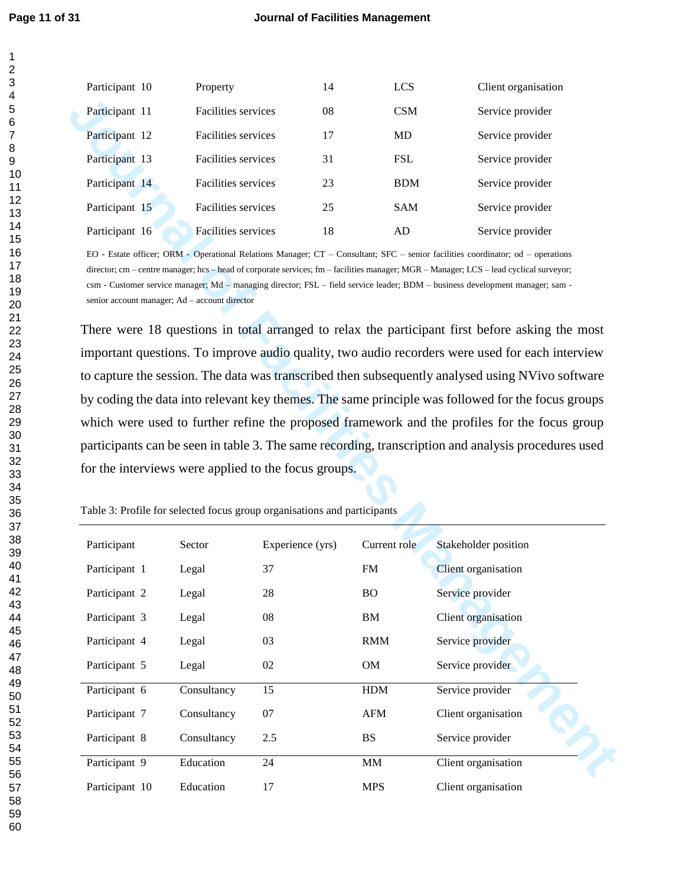| Participant 10 | Property                   | 14 | <b>LCS</b> | Client organisation |
|----------------|----------------------------|----|------------|---------------------|
| Participant 11 | <b>Facilities services</b> | 08 | <b>CSM</b> | Service provider    |
| Participant 12 | <b>Facilities services</b> | 17 | <b>MD</b>  | Service provider    |
| Participant 13 | <b>Facilities services</b> | 31 | <b>FSL</b> | Service provider    |
| Participant 14 | <b>Facilities services</b> | 23 | <b>BDM</b> | Service provider    |
| Participant 15 | Facilities services        | 25 | <b>SAM</b> | Service provider    |
| Participant 16 | <b>Facilities services</b> | 18 | AD         | Service provider    |

| Participant 11                                                                                                                   | Facilities services                           |                  | 08            | <b>CSM</b> | Service provider                                                                                                                                                                                                                                                                                                                                                                                                                                                                                                                                                                                                                                                                                                                                                                                                                                                                               |
|----------------------------------------------------------------------------------------------------------------------------------|-----------------------------------------------|------------------|---------------|------------|------------------------------------------------------------------------------------------------------------------------------------------------------------------------------------------------------------------------------------------------------------------------------------------------------------------------------------------------------------------------------------------------------------------------------------------------------------------------------------------------------------------------------------------------------------------------------------------------------------------------------------------------------------------------------------------------------------------------------------------------------------------------------------------------------------------------------------------------------------------------------------------------|
| Participant 12                                                                                                                   | Facilities services                           |                  | 17            | MD         | Service provider                                                                                                                                                                                                                                                                                                                                                                                                                                                                                                                                                                                                                                                                                                                                                                                                                                                                               |
| Participant 13                                                                                                                   | Facilities services                           |                  | 31            | <b>FSL</b> | Service provider                                                                                                                                                                                                                                                                                                                                                                                                                                                                                                                                                                                                                                                                                                                                                                                                                                                                               |
| Participant 14                                                                                                                   | Facilities services                           |                  | 23            | <b>BDM</b> | Service provider                                                                                                                                                                                                                                                                                                                                                                                                                                                                                                                                                                                                                                                                                                                                                                                                                                                                               |
| Participant 15                                                                                                                   | Facilities services                           |                  | 25            | SAM        | Service provider                                                                                                                                                                                                                                                                                                                                                                                                                                                                                                                                                                                                                                                                                                                                                                                                                                                                               |
| Participant 16                                                                                                                   | Facilities services                           |                  | 18            | AD         | Service provider                                                                                                                                                                                                                                                                                                                                                                                                                                                                                                                                                                                                                                                                                                                                                                                                                                                                               |
| for the interviews were applied to the focus groups.<br>Table 3: Profile for selected focus group organisations and participants | senior account manager; Ad – account director |                  |               |            | director; cm – centre manager; hcs – head of corporate services; fm – facilities manager; MGR – Manager; LCS – lead cyclical surveyor;<br>csm - Customer service manager; Md – managing director; FSL – field service leader; BDM – business development manager; sam -<br>There were 18 questions in total arranged to relax the participant first before asking the most<br>important questions. To improve audio quality, two audio recorders were used for each interview<br>to capture the session. The data was transcribed then subsequently analysed using NVivo software<br>by coding the data into relevant key themes. The same principle was followed for the focus groups<br>which were used to further refine the proposed framework and the profiles for the focus group<br>participants can be seen in table 3. The same recording, transcription and analysis procedures used |
| Participant                                                                                                                      | Sector                                        | Experience (yrs) | Current role  |            | Stakeholder position                                                                                                                                                                                                                                                                                                                                                                                                                                                                                                                                                                                                                                                                                                                                                                                                                                                                           |
| Participant 1                                                                                                                    | Legal                                         | 37               | <b>FM</b>     |            | Client organisation                                                                                                                                                                                                                                                                                                                                                                                                                                                                                                                                                                                                                                                                                                                                                                                                                                                                            |
| Participant 2                                                                                                                    | Legal                                         | 28               | BO.           |            | Service provider                                                                                                                                                                                                                                                                                                                                                                                                                                                                                                                                                                                                                                                                                                                                                                                                                                                                               |
| Participant 3                                                                                                                    | Legal                                         | 08               | BM            |            | Client organisation                                                                                                                                                                                                                                                                                                                                                                                                                                                                                                                                                                                                                                                                                                                                                                                                                                                                            |
| Participant 4                                                                                                                    | Legal                                         | 03               | RMM           |            | Service provider                                                                                                                                                                                                                                                                                                                                                                                                                                                                                                                                                                                                                                                                                                                                                                                                                                                                               |
| Participant 5                                                                                                                    | Legal                                         | 02               | OM            |            | Service provider                                                                                                                                                                                                                                                                                                                                                                                                                                                                                                                                                                                                                                                                                                                                                                                                                                                                               |
| Participant 6                                                                                                                    | Consultancy                                   | 15               | HDM           |            | Service provider                                                                                                                                                                                                                                                                                                                                                                                                                                                                                                                                                                                                                                                                                                                                                                                                                                                                               |
| Participant 7                                                                                                                    | Consultancy                                   | $07\,$           | ${\rm AFM}$   |            | Client organisation                                                                                                                                                                                                                                                                                                                                                                                                                                                                                                                                                                                                                                                                                                                                                                                                                                                                            |
| Participant 8                                                                                                                    | Consultancy                                   | $2.5\,$          | <b>BS</b>     |            | Service provider                                                                                                                                                                                                                                                                                                                                                                                                                                                                                                                                                                                                                                                                                                                                                                                                                                                                               |
| Participant 9                                                                                                                    |                                               |                  | $\text{MM}{}$ |            |                                                                                                                                                                                                                                                                                                                                                                                                                                                                                                                                                                                                                                                                                                                                                                                                                                                                                                |
|                                                                                                                                  | Education                                     | 24               |               |            | Client organisation                                                                                                                                                                                                                                                                                                                                                                                                                                                                                                                                                                                                                                                                                                                                                                                                                                                                            |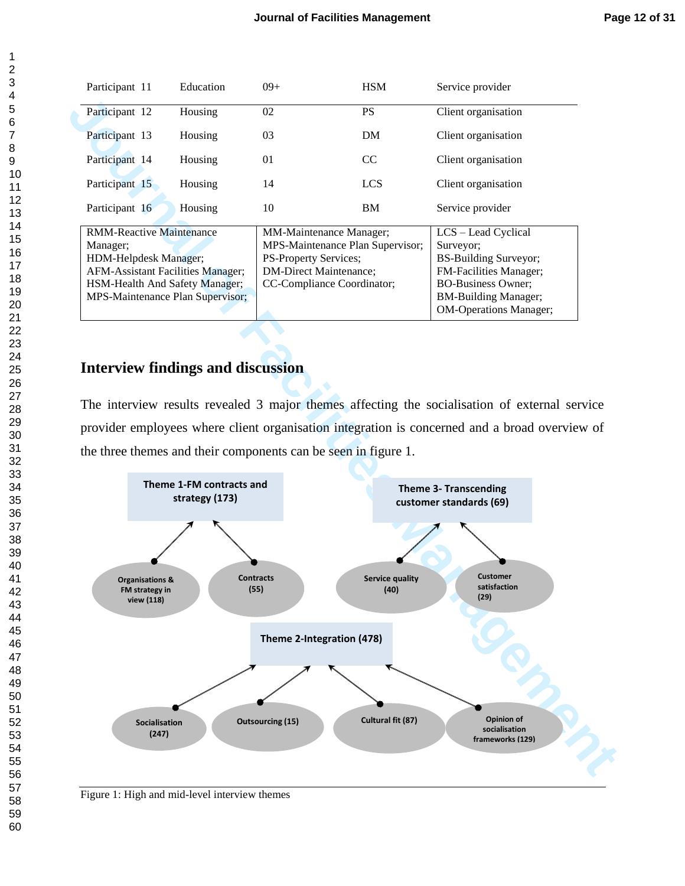| Participant 11                  | Education                         | $09+$                            | <b>HSM</b>    | Service provider              |
|---------------------------------|-----------------------------------|----------------------------------|---------------|-------------------------------|
| Participant 12                  | Housing                           | 02                               | <b>PS</b>     | Client organisation           |
| Participant 13                  | Housing                           | 03                               | DM            | Client organisation           |
| Participant 14                  | Housing                           | 01                               | <sub>CC</sub> | Client organisation           |
| Participant 15                  | Housing                           | 14                               | <b>LCS</b>    | Client organisation           |
| Participant 16                  | Housing                           | 10                               | BM            | Service provider              |
| <b>RMM-Reactive Maintenance</b> |                                   | <b>MM-Maintenance Manager:</b>   |               | LCS – Lead Cyclical           |
| Manager;                        |                                   | MPS-Maintenance Plan Supervisor; |               | Surveyor;                     |
| HDM-Helpdesk Manager;           |                                   | PS-Property Services;            |               | BS-Building Surveyor;         |
|                                 | AFM-Assistant Facilities Manager; | DM-Direct Maintenance;           |               | <b>FM-Facilities Manager;</b> |
|                                 | HSM-Health And Safety Manager;    | CC-Compliance Coordinator;       |               | <b>BO-Business Owner:</b>     |
|                                 | MPS-Maintenance Plan Supervisor;  |                                  |               | <b>BM-Building Manager;</b>   |
|                                 |                                   |                                  |               | <b>OM-Operations Manager;</b> |

## **Interview findings and discussion**

The interview results revealed 3 major themes affecting the socialisation of external service provider employees where client organisation integration is concerned and a broad overview of the three themes and their components can be seen in figure 1.



Figure 1: High and mid-level interview themes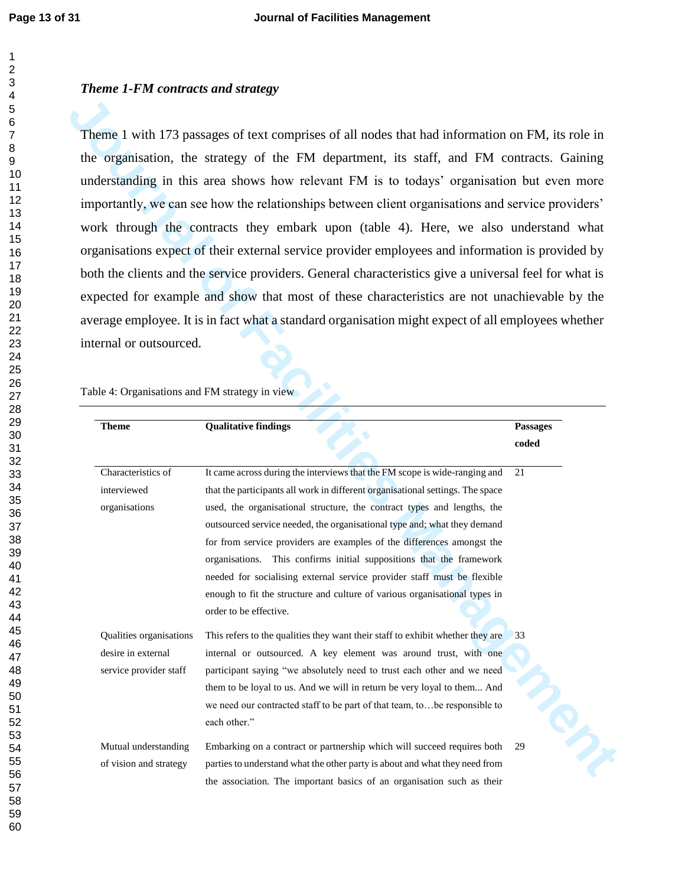#### *Theme 1-FM contracts and strategy*

|                                                                                                                                 | the organisation, the strategy of the FM department, its staff, and FM contracts. Gaining<br>understanding in this area shows how relevant FM is to todays' organisation but even more<br>importantly, we can see how the relationships between client organisations and service providers' |                                                       |
|---------------------------------------------------------------------------------------------------------------------------------|---------------------------------------------------------------------------------------------------------------------------------------------------------------------------------------------------------------------------------------------------------------------------------------------|-------------------------------------------------------|
|                                                                                                                                 |                                                                                                                                                                                                                                                                                             |                                                       |
|                                                                                                                                 |                                                                                                                                                                                                                                                                                             |                                                       |
|                                                                                                                                 |                                                                                                                                                                                                                                                                                             |                                                       |
|                                                                                                                                 | work through the contracts they embark upon (table 4). Here, we also understand what                                                                                                                                                                                                        |                                                       |
|                                                                                                                                 | organisations expect of their external service provider employees and information is provided by                                                                                                                                                                                            |                                                       |
|                                                                                                                                 | both the clients and the service providers. General characteristics give a universal feel for what is                                                                                                                                                                                       |                                                       |
|                                                                                                                                 | expected for example and show that most of these characteristics are not unachievable by the                                                                                                                                                                                                |                                                       |
|                                                                                                                                 | average employee. It is in fact what a standard organisation might expect of all employees whether                                                                                                                                                                                          |                                                       |
|                                                                                                                                 | Table 4: Organisations and FM strategy in view                                                                                                                                                                                                                                              |                                                       |
|                                                                                                                                 |                                                                                                                                                                                                                                                                                             |                                                       |
| <b>Theme</b>                                                                                                                    | <b>Qualitative findings</b>                                                                                                                                                                                                                                                                 | Passages                                              |
|                                                                                                                                 |                                                                                                                                                                                                                                                                                             | $\mathbf{coded}% \left( b^{\prime},\mathbf{0}\right)$ |
| Characteristics of                                                                                                              | It came across during the interviews that the FM scope is wide-ranging and                                                                                                                                                                                                                  |                                                       |
|                                                                                                                                 |                                                                                                                                                                                                                                                                                             | 21                                                    |
|                                                                                                                                 | that the participants all work in different organisational settings. The space                                                                                                                                                                                                              |                                                       |
|                                                                                                                                 | used, the organisational structure, the contract types and lengths, the                                                                                                                                                                                                                     |                                                       |
|                                                                                                                                 | outsourced service needed, the organisational type and; what they demand                                                                                                                                                                                                                    |                                                       |
|                                                                                                                                 | for from service providers are examples of the differences amongst the                                                                                                                                                                                                                      |                                                       |
|                                                                                                                                 | organisations. This confirms initial suppositions that the framework                                                                                                                                                                                                                        |                                                       |
|                                                                                                                                 | needed for socialising external service provider staff must be flexible                                                                                                                                                                                                                     |                                                       |
|                                                                                                                                 | enough to fit the structure and culture of various organisational types in<br>order to be effective.                                                                                                                                                                                        |                                                       |
|                                                                                                                                 | This refers to the qualities they want their staff to exhibit whether they are                                                                                                                                                                                                              | 33                                                    |
|                                                                                                                                 | internal or outsourced. A key element was around trust, with one                                                                                                                                                                                                                            |                                                       |
|                                                                                                                                 | participant saying "we absolutely need to trust each other and we need                                                                                                                                                                                                                      |                                                       |
|                                                                                                                                 | them to be loyal to us. And we will in return be very loyal to them And                                                                                                                                                                                                                     |                                                       |
|                                                                                                                                 | we need our contracted staff to be part of that team, tobe responsible to<br>each other."                                                                                                                                                                                                   |                                                       |
| interviewed<br>organisations<br>Qualities organisations<br>desire in external<br>service provider staff<br>Mutual understanding | Embarking on a contract or partnership which will succeed requires both                                                                                                                                                                                                                     | May<br>29                                             |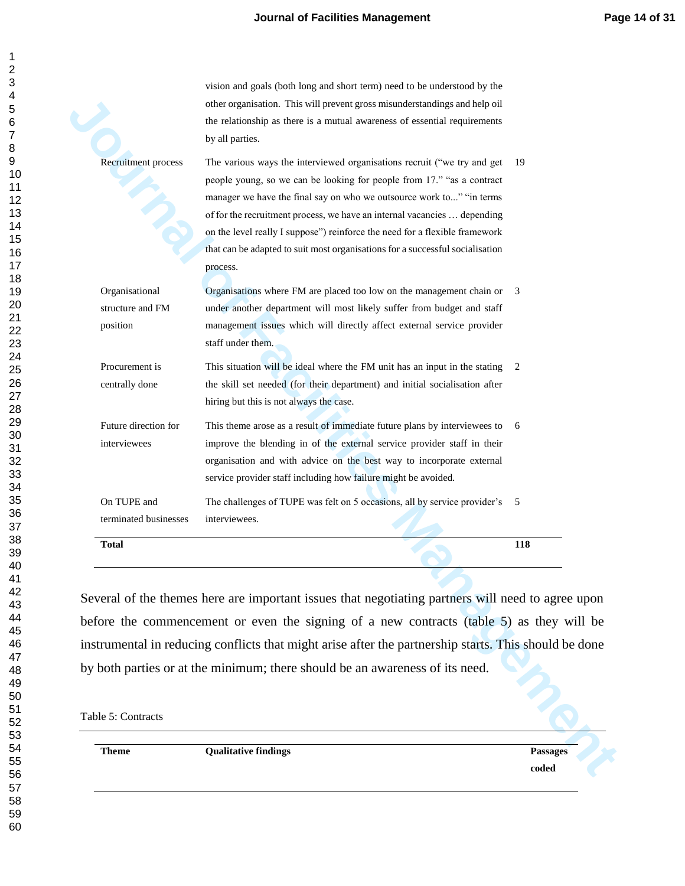vision and goals (both long and short term) need to be understood by the

| <b>Theme</b>                         | <b>Qualitative findings</b>                                                                                                                                                           | <b>Passages</b> |
|--------------------------------------|---------------------------------------------------------------------------------------------------------------------------------------------------------------------------------------|-----------------|
|                                      |                                                                                                                                                                                       |                 |
| Table 5: Contracts                   |                                                                                                                                                                                       |                 |
|                                      |                                                                                                                                                                                       |                 |
|                                      | instrumental in reducing conflicts that might arise after the partnership starts. This should be done<br>by both parties or at the minimum; there should be an awareness of its need. |                 |
|                                      | before the commencement or even the signing of a new contracts (table 5) as they will be                                                                                              |                 |
|                                      | Several of the themes here are important issues that negotiating partners will need to agree upon                                                                                     |                 |
|                                      |                                                                                                                                                                                       |                 |
|                                      |                                                                                                                                                                                       |                 |
| <b>Total</b>                         |                                                                                                                                                                                       | 118             |
| On TUPE and<br>terminated businesses | The challenges of TUPE was felt on 5 occasions, all by service provider's<br>interviewees.                                                                                            | 5               |
|                                      | organisation and with advice on the best way to incorporate external<br>service provider staff including how failure might be avoided.                                                |                 |
| interviewees                         | improve the blending in of the external service provider staff in their                                                                                                               |                 |
| Future direction for                 | This theme arose as a result of immediate future plans by interviewees to                                                                                                             | 6               |
| centrally done                       | the skill set needed (for their department) and initial socialisation after<br>hiring but this is not always the case.                                                                |                 |
| Procurement is                       | This situation will be ideal where the FM unit has an input in the stating                                                                                                            | 2               |
| position                             | management issues which will directly affect external service provider<br>staff under them.                                                                                           |                 |
| structure and FM                     | under another department will most likely suffer from budget and staff                                                                                                                |                 |
| Organisational                       | Organisations where FM are placed too low on the management chain or 3                                                                                                                |                 |
|                                      | that can be adapted to suit most organisations for a successful socialisation<br>process.                                                                                             |                 |
|                                      | on the level really I suppose") reinforce the need for a flexible framework                                                                                                           |                 |
|                                      | of for the recruitment process, we have an internal vacancies  depending                                                                                                              |                 |
|                                      | people young, so we can be looking for people from 17." "as a contract<br>manager we have the final say on who we outsource work to" "in terms                                        |                 |
| <b>Recruitment process</b>           | The various ways the interviewed organisations recruit ("we try and get                                                                                                               | 19              |
|                                      | by all parties.                                                                                                                                                                       |                 |
|                                      | other organisation. This will prevent gross misunderstandings and help oil<br>the relationship as there is a mutual awareness of essential requirements                               |                 |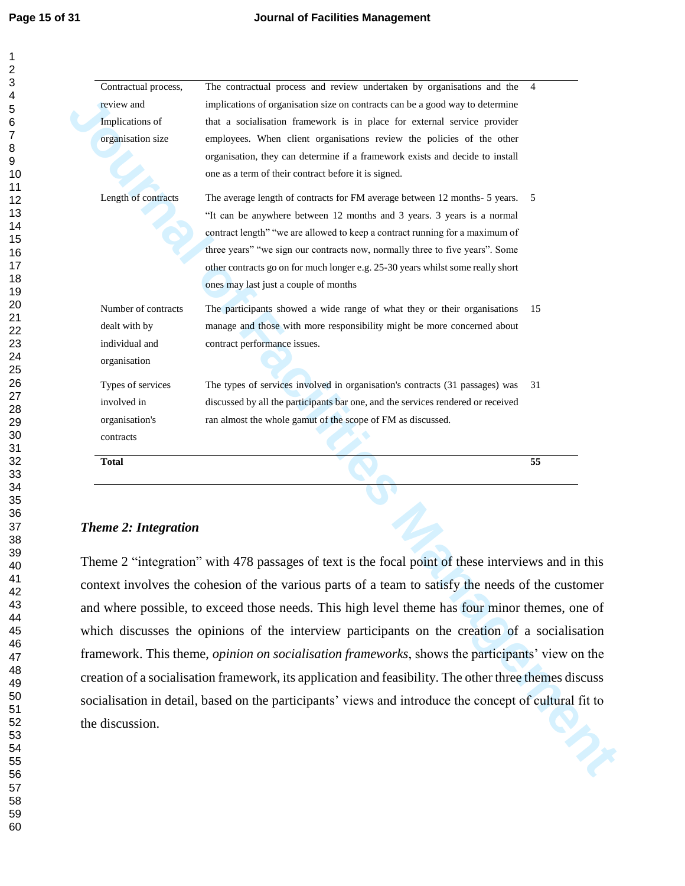| Contractual process,<br>review and   | The contractual process and review undertaken by organisations and the<br>implications of organisation size on contracts can be a good way to determine                                                                           | $\overline{4}$ |
|--------------------------------------|-----------------------------------------------------------------------------------------------------------------------------------------------------------------------------------------------------------------------------------|----------------|
| Implications of<br>organisation size | that a socialisation framework is in place for external service provider<br>employees. When client organisations review the policies of the other<br>organisation, they can determine if a framework exists and decide to install |                |
| Length of contracts                  | one as a term of their contract before it is signed.<br>The average length of contracts for FM average between 12 months- 5 years.                                                                                                | 5              |
|                                      | "It can be anywhere between 12 months and 3 years. 3 years is a normal                                                                                                                                                            |                |
|                                      | contract length" "we are allowed to keep a contract running for a maximum of                                                                                                                                                      |                |
|                                      | three years" "we sign our contracts now, normally three to five years". Some                                                                                                                                                      |                |
|                                      | other contracts go on for much longer e.g. 25-30 years whilst some really short<br>ones may last just a couple of months                                                                                                          |                |
| Number of contracts                  | The participants showed a wide range of what they or their organisations                                                                                                                                                          | 15             |
| dealt with by                        | manage and those with more responsibility might be more concerned about                                                                                                                                                           |                |
| individual and                       | contract performance issues.                                                                                                                                                                                                      |                |
| organisation                         |                                                                                                                                                                                                                                   |                |
| Types of services                    | The types of services involved in organisation's contracts (31 passages) was                                                                                                                                                      | 31             |
| involved in                          | discussed by all the participants bar one, and the services rendered or received                                                                                                                                                  |                |
|                                      |                                                                                                                                                                                                                                   |                |
| organisation's                       | ran almost the whole gamut of the scope of FM as discussed.                                                                                                                                                                       |                |
| contracts                            |                                                                                                                                                                                                                                   |                |
| <b>Total</b>                         |                                                                                                                                                                                                                                   | 55             |
| <b>Theme 2: Integration</b>          |                                                                                                                                                                                                                                   |                |
|                                      | Theme 2 "integration" with 478 passages of text is the focal point of these interviews and in this                                                                                                                                |                |
|                                      | context involves the cohesion of the various parts of a team to satisfy the needs of the customer                                                                                                                                 |                |
|                                      | and where possible, to exceed those needs. This high level theme has four minor themes, one of                                                                                                                                    |                |
|                                      | which discusses the opinions of the interview participants on the creation of a socialisation                                                                                                                                     |                |
|                                      | framework. This theme, <i>opinion on socialisation frameworks</i> , shows the participants' view on the                                                                                                                           |                |
|                                      | creation of a socialisation framework, its application and feasibility. The other three themes discuss                                                                                                                            |                |
|                                      | socialisation in detail, based on the participants' views and introduce the concept of cultural fit to                                                                                                                            |                |
| the discussion.                      |                                                                                                                                                                                                                                   |                |

#### *Theme 2: Integration*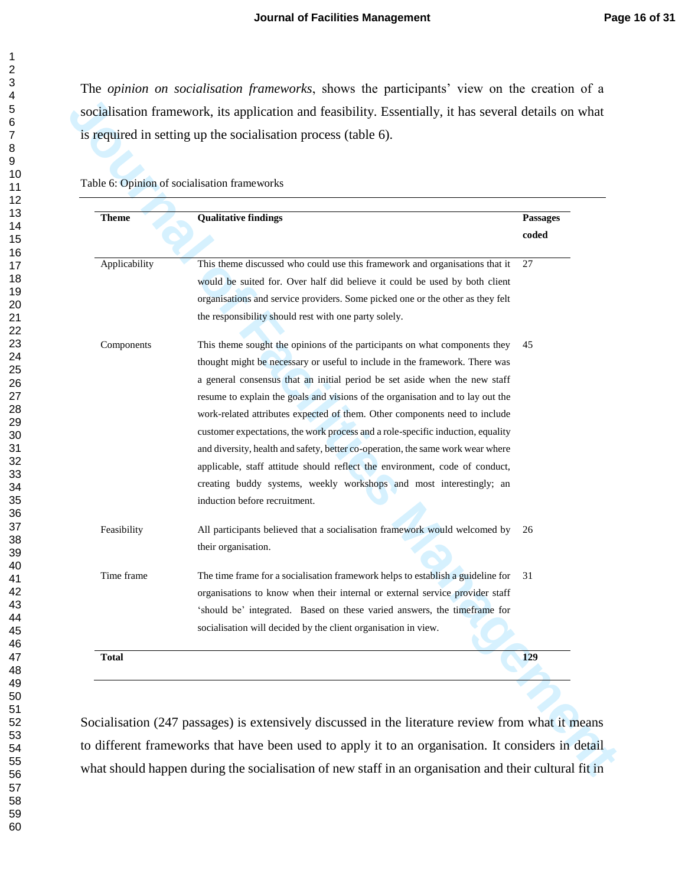The *opinion on socialisation frameworks*, shows the participants' view on the creation of a socialisation framework, its application and feasibility. Essentially, it has several details on what is required in setting up the socialisation process (table 6).

|  | Table 6: Opinion of socialisation frameworks |  |
|--|----------------------------------------------|--|
|  |                                              |  |

| <b>Theme</b>  | <b>Qualitative findings</b>                                                                                                                                                                                                                                                                                                                                                                                                                                                                                                                                                                                                                                                                                                                                          |                          |
|---------------|----------------------------------------------------------------------------------------------------------------------------------------------------------------------------------------------------------------------------------------------------------------------------------------------------------------------------------------------------------------------------------------------------------------------------------------------------------------------------------------------------------------------------------------------------------------------------------------------------------------------------------------------------------------------------------------------------------------------------------------------------------------------|--------------------------|
|               |                                                                                                                                                                                                                                                                                                                                                                                                                                                                                                                                                                                                                                                                                                                                                                      | <b>Passages</b><br>coded |
| Applicability | This theme discussed who could use this framework and organisations that it<br>would be suited for. Over half did believe it could be used by both client<br>organisations and service providers. Some picked one or the other as they felt<br>the responsibility should rest with one party solely.                                                                                                                                                                                                                                                                                                                                                                                                                                                                 | 27                       |
| Components    | This theme sought the opinions of the participants on what components they<br>thought might be necessary or useful to include in the framework. There was<br>a general consensus that an initial period be set aside when the new staff<br>resume to explain the goals and visions of the organisation and to lay out the<br>work-related attributes expected of them. Other components need to include<br>customer expectations, the work process and a role-specific induction, equality<br>and diversity, health and safety, better co-operation, the same work wear where<br>applicable, staff attitude should reflect the environment, code of conduct,<br>creating buddy systems, weekly workshops and most interestingly; an<br>induction before recruitment. | 45                       |
| Feasibility   | All participants believed that a socialisation framework would welcomed by<br>their organisation.                                                                                                                                                                                                                                                                                                                                                                                                                                                                                                                                                                                                                                                                    | 26                       |
| Time frame    | The time frame for a socialisation framework helps to establish a guideline for<br>organisations to know when their internal or external service provider staff<br>'should be' integrated. Based on these varied answers, the timeframe for<br>socialisation will decided by the client organisation in view.                                                                                                                                                                                                                                                                                                                                                                                                                                                        | 31                       |
| <b>Total</b>  |                                                                                                                                                                                                                                                                                                                                                                                                                                                                                                                                                                                                                                                                                                                                                                      | 129                      |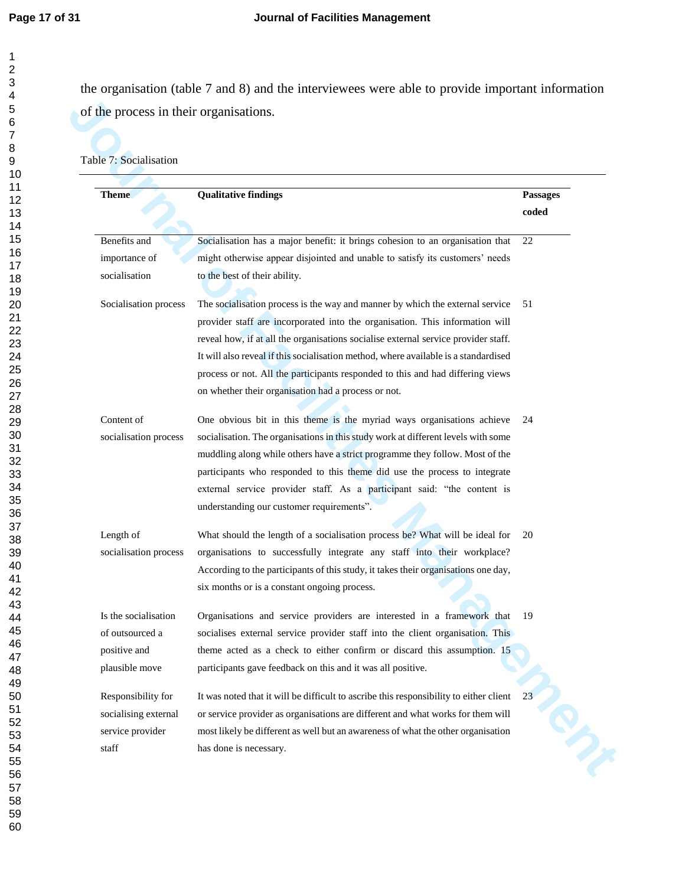the organisation (table 7 and 8) and the interviewees were able to provide important information of the process in their organisations.

#### Table 7: Socialisation

| <b>Theme</b>                                                                        | <b>Qualitative findings</b>                                                                                                                                                                                                                                                                                                                                                                                                                                                         | <b>Passages</b><br>coded |
|-------------------------------------------------------------------------------------|-------------------------------------------------------------------------------------------------------------------------------------------------------------------------------------------------------------------------------------------------------------------------------------------------------------------------------------------------------------------------------------------------------------------------------------------------------------------------------------|--------------------------|
| Benefits and                                                                        | Socialisation has a major benefit: it brings cohesion to an organisation that                                                                                                                                                                                                                                                                                                                                                                                                       | 22                       |
| importance of<br>socialisation                                                      | might otherwise appear disjointed and unable to satisfy its customers' needs<br>to the best of their ability.                                                                                                                                                                                                                                                                                                                                                                       |                          |
| Socialisation process                                                               | The socialisation process is the way and manner by which the external service<br>provider staff are incorporated into the organisation. This information will<br>reveal how, if at all the organisations socialise external service provider staff.<br>It will also reveal if this socialisation method, where available is a standardised<br>process or not. All the participants responded to this and had differing views<br>on whether their organisation had a process or not. | 51                       |
| Content of<br>socialisation process                                                 | One obvious bit in this theme is the myriad ways organisations achieve<br>socialisation. The organisations in this study work at different levels with some<br>muddling along while others have a strict programme they follow. Most of the<br>participants who responded to this theme did use the process to integrate<br>external service provider staff. As a participant said: "the content is<br>understanding our customer requirements".                                    | 24                       |
| Length of<br>socialisation process                                                  | What should the length of a socialisation process be? What will be ideal for<br>organisations to successfully integrate any staff into their workplace?<br>According to the participants of this study, it takes their organisations one day,<br>six months or is a constant ongoing process.                                                                                                                                                                                       | 20                       |
| Is the socialisation<br>of outsourced a                                             | Organisations and service providers are interested in a framework that<br>socialises external service provider staff into the client organisation. This                                                                                                                                                                                                                                                                                                                             | 19                       |
| positive and<br>plausible move                                                      | theme acted as a check to either confirm or discard this assumption. 15<br>participants gave feedback on this and it was all positive.                                                                                                                                                                                                                                                                                                                                              |                          |
| Responsibility for<br>socialising external<br>service provider<br>$_{\mbox{staff}}$ | It was noted that it will be difficult to ascribe this responsibility to either client<br>or service provider as organisations are different and what works for them will<br>most likely be different as well but an awareness of what the other organisation<br>has done is necessary.                                                                                                                                                                                             | 23<br>Q                  |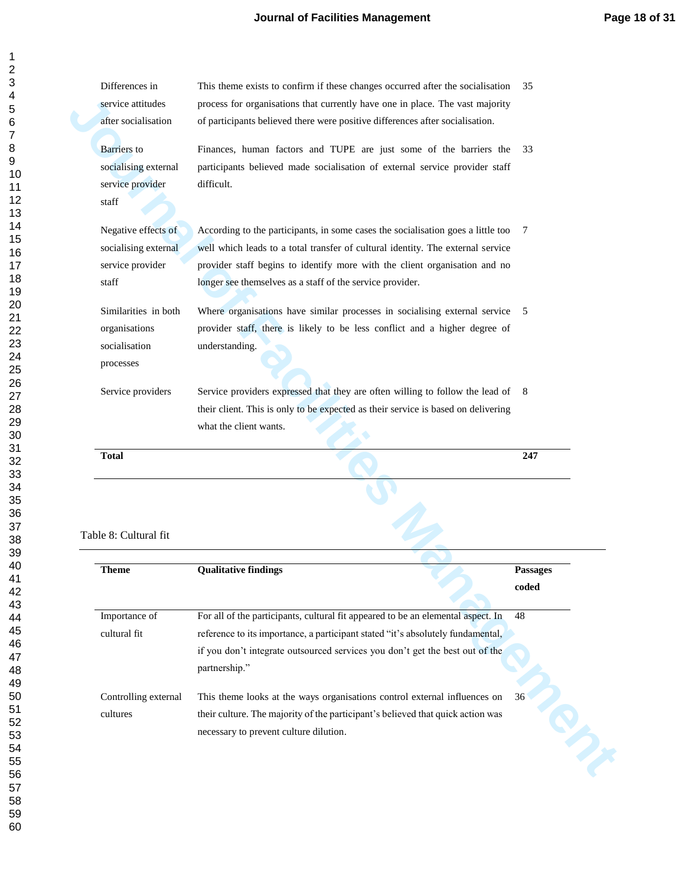| Differences in<br>service attitudes   | This theme exists to confirm if these changes occurred after the socialisation<br>process for organisations that currently have one in place. The vast majority | 35                                                                       |
|---------------------------------------|-----------------------------------------------------------------------------------------------------------------------------------------------------------------|--------------------------------------------------------------------------|
| after socialisation                   | of participants believed there were positive differences after socialisation.                                                                                   |                                                                          |
|                                       |                                                                                                                                                                 |                                                                          |
| <b>Barriers</b> to                    | Finances, human factors and TUPE are just some of the barriers the                                                                                              | 33                                                                       |
| socialising external                  | participants believed made socialisation of external service provider staff                                                                                     |                                                                          |
| service provider                      | difficult.                                                                                                                                                      |                                                                          |
| $_{\mbox{staff}}$                     |                                                                                                                                                                 |                                                                          |
| Negative effects of                   | According to the participants, in some cases the socialisation goes a little too                                                                                | 7                                                                        |
| socialising external                  | well which leads to a total transfer of cultural identity. The external service                                                                                 |                                                                          |
| service provider                      | provider staff begins to identify more with the client organisation and no                                                                                      |                                                                          |
| staff                                 | longer see themselves as a staff of the service provider.                                                                                                       |                                                                          |
| Similarities in both                  | Where organisations have similar processes in socialising external service                                                                                      | - 5                                                                      |
| organisations                         | provider staff, there is likely to be less conflict and a higher degree of                                                                                      |                                                                          |
| socialisation                         | understanding.                                                                                                                                                  |                                                                          |
| processes                             |                                                                                                                                                                 |                                                                          |
|                                       |                                                                                                                                                                 |                                                                          |
| Service providers                     | Service providers expressed that they are often willing to follow the lead of                                                                                   | -8                                                                       |
|                                       | their client. This is only to be expected as their service is based on delivering                                                                               |                                                                          |
|                                       |                                                                                                                                                                 |                                                                          |
|                                       | what the client wants.                                                                                                                                          |                                                                          |
| <b>Total</b>                          |                                                                                                                                                                 | 247                                                                      |
|                                       |                                                                                                                                                                 |                                                                          |
|                                       |                                                                                                                                                                 |                                                                          |
|                                       |                                                                                                                                                                 |                                                                          |
|                                       |                                                                                                                                                                 |                                                                          |
|                                       |                                                                                                                                                                 |                                                                          |
| Table 8: Cultural fit<br><b>Theme</b> | <b>Qualitative findings</b>                                                                                                                                     | <b>Passages</b><br>$\mathbf{coded}% \left( b^{\prime},\mathbf{0}\right)$ |
|                                       |                                                                                                                                                                 |                                                                          |
|                                       | For all of the participants, cultural fit appeared to be an elemental aspect. In                                                                                | 48                                                                       |
| Importance of<br>cultural fit         | reference to its importance, a participant stated "it's absolutely fundamental,                                                                                 |                                                                          |
|                                       | if you don't integrate outsourced services you don't get the best out of the                                                                                    |                                                                          |
|                                       | partnership."                                                                                                                                                   |                                                                          |
| Controlling external                  | This theme looks at the ways organisations control external influences on                                                                                       | 36                                                                       |
| cultures                              | their culture. The majority of the participant's believed that quick action was                                                                                 | PIS                                                                      |

#### Table 8: Cultural fit

| <b>Oualitative findings</b>                                                                                               | <b>Passages</b> |
|---------------------------------------------------------------------------------------------------------------------------|-----------------|
|                                                                                                                           | coded           |
| For all of the participants, cultural fit appeared to be an elemental aspect. In                                          | 48              |
| reference to its importance, a participant stated "it's absolutely fundamental,                                           |                 |
| if you don't integrate outsourced services you don't get the best out of the<br>partnership."                             |                 |
| This theme looks at the ways organisations control external influences on                                                 | $36^\circ$      |
| their culture. The majority of the participant's believed that quick action was<br>necessary to prevent culture dilution. |                 |
|                                                                                                                           |                 |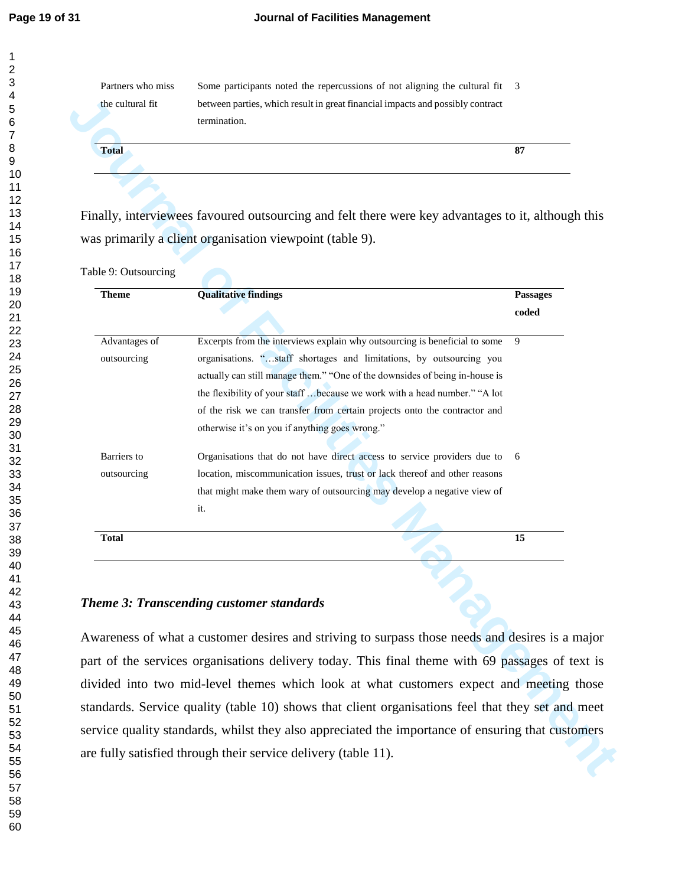Partners who miss the cultural fit

Some participants noted the repercussions of not aligning the cultural fit 3 between parties, which result in great financial impacts and possibly contract termination.

Table 9: Outsourcing

| termination.<br><b>Total</b><br>87<br>Finally, interviewees favoured outsourcing and felt there were key advantages to it, although this<br>was primarily a client organisation viewpoint (table 9).<br><b>Qualitative findings</b><br><b>Theme</b><br>Passages<br>coded<br>Excerpts from the interviews explain why outsourcing is beneficial to some<br>Advantages of<br>9<br>organisations. "staff shortages and limitations, by outsourcing you<br>outsourcing<br>actually can still manage them." "One of the downsides of being in-house is<br>the flexibility of your staff  because we work with a head number." "A lot<br>of the risk we can transfer from certain projects onto the contractor and<br>otherwise it's on you if anything goes wrong."<br>Barriers to<br>Organisations that do not have direct access to service providers due to<br>6<br>location, miscommunication issues, trust or lack thereof and other reasons<br>outsourcing<br>that might make them wary of outsourcing may develop a negative view of<br>it.<br><b>Total</b><br>15<br>Theme 3: Transcending customer standards | the cultural fit     | between parties, which result in great financial impacts and possibly contract |  |
|-----------------------------------------------------------------------------------------------------------------------------------------------------------------------------------------------------------------------------------------------------------------------------------------------------------------------------------------------------------------------------------------------------------------------------------------------------------------------------------------------------------------------------------------------------------------------------------------------------------------------------------------------------------------------------------------------------------------------------------------------------------------------------------------------------------------------------------------------------------------------------------------------------------------------------------------------------------------------------------------------------------------------------------------------------------------------------------------------------------------|----------------------|--------------------------------------------------------------------------------|--|
|                                                                                                                                                                                                                                                                                                                                                                                                                                                                                                                                                                                                                                                                                                                                                                                                                                                                                                                                                                                                                                                                                                                 |                      |                                                                                |  |
|                                                                                                                                                                                                                                                                                                                                                                                                                                                                                                                                                                                                                                                                                                                                                                                                                                                                                                                                                                                                                                                                                                                 |                      |                                                                                |  |
|                                                                                                                                                                                                                                                                                                                                                                                                                                                                                                                                                                                                                                                                                                                                                                                                                                                                                                                                                                                                                                                                                                                 |                      |                                                                                |  |
|                                                                                                                                                                                                                                                                                                                                                                                                                                                                                                                                                                                                                                                                                                                                                                                                                                                                                                                                                                                                                                                                                                                 |                      |                                                                                |  |
|                                                                                                                                                                                                                                                                                                                                                                                                                                                                                                                                                                                                                                                                                                                                                                                                                                                                                                                                                                                                                                                                                                                 |                      |                                                                                |  |
|                                                                                                                                                                                                                                                                                                                                                                                                                                                                                                                                                                                                                                                                                                                                                                                                                                                                                                                                                                                                                                                                                                                 |                      |                                                                                |  |
|                                                                                                                                                                                                                                                                                                                                                                                                                                                                                                                                                                                                                                                                                                                                                                                                                                                                                                                                                                                                                                                                                                                 |                      |                                                                                |  |
|                                                                                                                                                                                                                                                                                                                                                                                                                                                                                                                                                                                                                                                                                                                                                                                                                                                                                                                                                                                                                                                                                                                 | Table 9: Outsourcing |                                                                                |  |
|                                                                                                                                                                                                                                                                                                                                                                                                                                                                                                                                                                                                                                                                                                                                                                                                                                                                                                                                                                                                                                                                                                                 |                      |                                                                                |  |
|                                                                                                                                                                                                                                                                                                                                                                                                                                                                                                                                                                                                                                                                                                                                                                                                                                                                                                                                                                                                                                                                                                                 |                      |                                                                                |  |
|                                                                                                                                                                                                                                                                                                                                                                                                                                                                                                                                                                                                                                                                                                                                                                                                                                                                                                                                                                                                                                                                                                                 |                      |                                                                                |  |
|                                                                                                                                                                                                                                                                                                                                                                                                                                                                                                                                                                                                                                                                                                                                                                                                                                                                                                                                                                                                                                                                                                                 |                      |                                                                                |  |
|                                                                                                                                                                                                                                                                                                                                                                                                                                                                                                                                                                                                                                                                                                                                                                                                                                                                                                                                                                                                                                                                                                                 |                      |                                                                                |  |
|                                                                                                                                                                                                                                                                                                                                                                                                                                                                                                                                                                                                                                                                                                                                                                                                                                                                                                                                                                                                                                                                                                                 |                      |                                                                                |  |
|                                                                                                                                                                                                                                                                                                                                                                                                                                                                                                                                                                                                                                                                                                                                                                                                                                                                                                                                                                                                                                                                                                                 |                      |                                                                                |  |
|                                                                                                                                                                                                                                                                                                                                                                                                                                                                                                                                                                                                                                                                                                                                                                                                                                                                                                                                                                                                                                                                                                                 |                      |                                                                                |  |
|                                                                                                                                                                                                                                                                                                                                                                                                                                                                                                                                                                                                                                                                                                                                                                                                                                                                                                                                                                                                                                                                                                                 |                      |                                                                                |  |
|                                                                                                                                                                                                                                                                                                                                                                                                                                                                                                                                                                                                                                                                                                                                                                                                                                                                                                                                                                                                                                                                                                                 |                      |                                                                                |  |
|                                                                                                                                                                                                                                                                                                                                                                                                                                                                                                                                                                                                                                                                                                                                                                                                                                                                                                                                                                                                                                                                                                                 |                      |                                                                                |  |
|                                                                                                                                                                                                                                                                                                                                                                                                                                                                                                                                                                                                                                                                                                                                                                                                                                                                                                                                                                                                                                                                                                                 |                      |                                                                                |  |
|                                                                                                                                                                                                                                                                                                                                                                                                                                                                                                                                                                                                                                                                                                                                                                                                                                                                                                                                                                                                                                                                                                                 |                      |                                                                                |  |
|                                                                                                                                                                                                                                                                                                                                                                                                                                                                                                                                                                                                                                                                                                                                                                                                                                                                                                                                                                                                                                                                                                                 |                      |                                                                                |  |
|                                                                                                                                                                                                                                                                                                                                                                                                                                                                                                                                                                                                                                                                                                                                                                                                                                                                                                                                                                                                                                                                                                                 |                      |                                                                                |  |
|                                                                                                                                                                                                                                                                                                                                                                                                                                                                                                                                                                                                                                                                                                                                                                                                                                                                                                                                                                                                                                                                                                                 |                      |                                                                                |  |
|                                                                                                                                                                                                                                                                                                                                                                                                                                                                                                                                                                                                                                                                                                                                                                                                                                                                                                                                                                                                                                                                                                                 |                      |                                                                                |  |
|                                                                                                                                                                                                                                                                                                                                                                                                                                                                                                                                                                                                                                                                                                                                                                                                                                                                                                                                                                                                                                                                                                                 |                      |                                                                                |  |
|                                                                                                                                                                                                                                                                                                                                                                                                                                                                                                                                                                                                                                                                                                                                                                                                                                                                                                                                                                                                                                                                                                                 |                      |                                                                                |  |
| Awareness of what a customer desires and striving to surpass those needs and desires is a major<br>part of the services organisations delivery today. This final theme with 69 passages of text is                                                                                                                                                                                                                                                                                                                                                                                                                                                                                                                                                                                                                                                                                                                                                                                                                                                                                                              |                      |                                                                                |  |
| divided into two mid-level themes which look at what customers expect and meeting those                                                                                                                                                                                                                                                                                                                                                                                                                                                                                                                                                                                                                                                                                                                                                                                                                                                                                                                                                                                                                         |                      |                                                                                |  |
|                                                                                                                                                                                                                                                                                                                                                                                                                                                                                                                                                                                                                                                                                                                                                                                                                                                                                                                                                                                                                                                                                                                 |                      |                                                                                |  |
| standards. Service quality (table 10) shows that client organisations feel that they set and meet                                                                                                                                                                                                                                                                                                                                                                                                                                                                                                                                                                                                                                                                                                                                                                                                                                                                                                                                                                                                               |                      |                                                                                |  |
| service quality standards, whilst they also appreciated the importance of ensuring that customers                                                                                                                                                                                                                                                                                                                                                                                                                                                                                                                                                                                                                                                                                                                                                                                                                                                                                                                                                                                                               |                      |                                                                                |  |
| are fully satisfied through their service delivery (table 11).                                                                                                                                                                                                                                                                                                                                                                                                                                                                                                                                                                                                                                                                                                                                                                                                                                                                                                                                                                                                                                                  |                      |                                                                                |  |

#### *Theme 3: Transcending customer standards*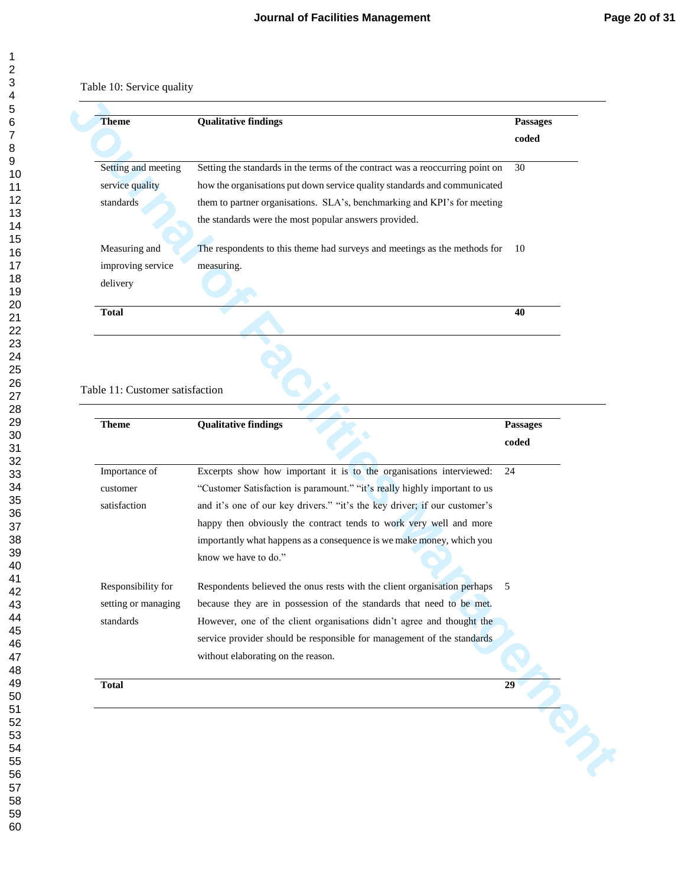| <b>Theme</b>        | <b>Qualitative findings</b>                                                   | <b>Passages</b> |
|---------------------|-------------------------------------------------------------------------------|-----------------|
|                     |                                                                               | coded           |
| Setting and meeting | Setting the standards in the terms of the contract was a reoccurring point on | 30              |
| service quality     | how the organisations put down service quality standards and communicated     |                 |
| standards           | them to partner organisations. SLA's, benchmarking and KPI's for meeting      |                 |
|                     | the standards were the most popular answers provided.                         |                 |
| Measuring and       | The respondents to this theme had surveys and meetings as the methods for     | 10              |
| improving service   | measuring.                                                                    |                 |
| delivery            |                                                                               |                 |
| <b>Total</b>        |                                                                               | 40              |
|                     |                                                                               |                 |

#### Table 11: Customer satisfaction

| <b>Theme</b>                                                                                                        | <b>Qualitative findings</b>                                                                                                                                                                                                                                                                     | Passages<br>coded |
|---------------------------------------------------------------------------------------------------------------------|-------------------------------------------------------------------------------------------------------------------------------------------------------------------------------------------------------------------------------------------------------------------------------------------------|-------------------|
| Setting and meeting<br>service quality<br>standards                                                                 | Setting the standards in the terms of the contract was a reoccurring point on<br>how the organisations put down service quality standards and communicated<br>them to partner organisations. SLA's, benchmarking and KPI's for meeting<br>the standards were the most popular answers provided. | 30                |
| Measuring and<br>improving service<br>delivery                                                                      | The respondents to this theme had surveys and meetings as the methods for<br>measuring.                                                                                                                                                                                                         | 10                |
| <b>Total</b>                                                                                                        |                                                                                                                                                                                                                                                                                                 | 40                |
|                                                                                                                     |                                                                                                                                                                                                                                                                                                 |                   |
|                                                                                                                     | Excerpts show how important it is to the organisations interviewed:                                                                                                                                                                                                                             | coded<br>24       |
|                                                                                                                     | "Customer Satisfaction is paramount." "it's really highly important to us<br>and it's one of our key drivers." "it's the key driver; if our customer's<br>happy then obviously the contract tends to work very well and more                                                                    |                   |
|                                                                                                                     | importantly what happens as a consequence is we make money, which you<br>know we have to do."                                                                                                                                                                                                   |                   |
|                                                                                                                     | Respondents believed the onus rests with the client organisation perhaps<br>because they are in possession of the standards that need to be met.<br>However, one of the client organisations didn't agree and thought the                                                                       | 5                 |
|                                                                                                                     | service provider should be responsible for management of the standards<br>without elaborating on the reason.                                                                                                                                                                                    |                   |
| Importance of<br>customer<br>satisfaction<br>Responsibility for<br>setting or managing<br>standards<br><b>Total</b> |                                                                                                                                                                                                                                                                                                 | 29                |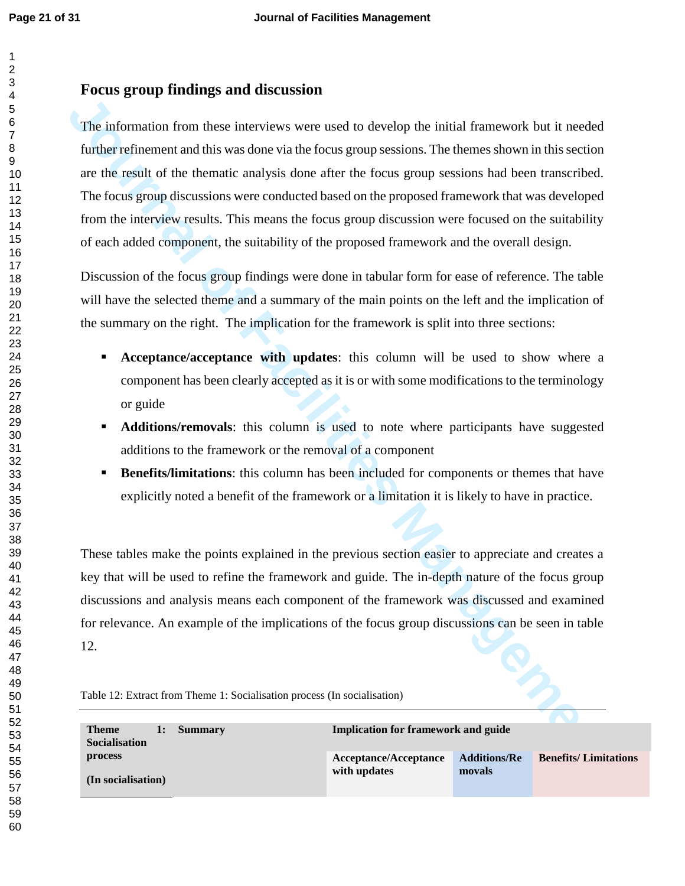## **Focus group findings and discussion**

**The informal on the interior wave used to develop the initial framework but it needed<br>The information from these interviews were used to develop the initial framework in this section<br>are the result of the themutic analysi** The information from these interviews were used to develop the initial framework but it needed further refinement and this was done via the focus group sessions. The themes shown in this section are the result of the thematic analysis done after the focus group sessions had been transcribed. The focus group discussions were conducted based on the proposed framework that was developed from the interview results. This means the focus group discussion were focused on the suitability of each added component, the suitability of the proposed framework and the overall design.

Discussion of the focus group findings were done in tabular form for ease of reference. The table will have the selected theme and a summary of the main points on the left and the implication of the summary on the right. The implication for the framework is split into three sections:

- **Acceptance/acceptance with updates**: this column will be used to show where a component has been clearly accepted as it is or with some modifications to the terminology or guide
- **Additions/removals:** this column is used to note where participants have suggested additions to the framework or the removal of a component
- **Benefits/limitations:** this column has been included for components or themes that have explicitly noted a benefit of the framework or a limitation it is likely to have in practice.

These tables make the points explained in the previous section easier to appreciate and creates a key that will be used to refine the framework and guide. The in-depth nature of the focus group discussions and analysis means each component of the framework was discussed and examined for relevance. An example of the implications of the focus group discussions can be seen in table 12.

| Table 12: Extract from Theme 1: Socialisation process (In socialisation) |  |  |
|--------------------------------------------------------------------------|--|--|
|--------------------------------------------------------------------------|--|--|

| <b>Theme</b><br>Summary<br>1:<br><b>Socialisation</b> | <b>Implication for framework and guide</b> |                     |                             |  |
|-------------------------------------------------------|--------------------------------------------|---------------------|-----------------------------|--|
| process                                               | Acceptance/Acceptance                      | <b>Additions/Re</b> | <b>Benefits/Limitations</b> |  |
| (In socialisation)                                    | with updates                               | movals              |                             |  |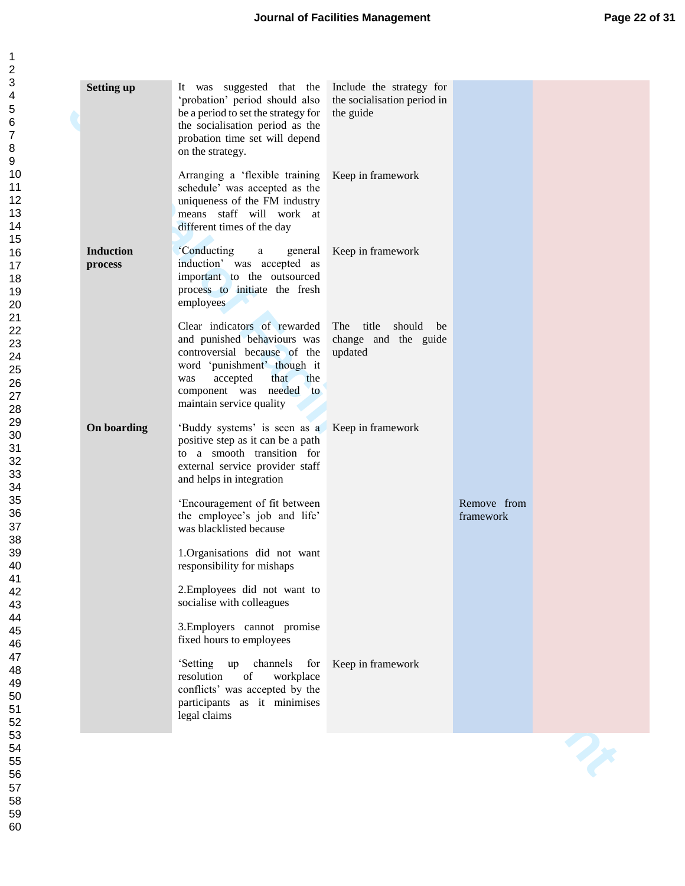| <b>Setting up</b>           | It was suggested that the<br>'probation' period should also<br>be a period to set the strategy for<br>the socialisation period as the<br>probation time set will depend<br>on the strategy.                            | Include the strategy for<br>the socialisation period in<br>the guide |                          |  |
|-----------------------------|------------------------------------------------------------------------------------------------------------------------------------------------------------------------------------------------------------------------|----------------------------------------------------------------------|--------------------------|--|
|                             | Arranging a 'flexible training<br>schedule' was accepted as the<br>uniqueness of the FM industry<br>means staff will work at<br>different times of the day                                                             | Keep in framework                                                    |                          |  |
| <b>Induction</b><br>process | <i>'</i> Conducting<br>general<br>a<br>induction' was accepted as<br>important to the outsourced<br>process to initiate the fresh<br>employees                                                                         | Keep in framework                                                    |                          |  |
|                             | Clear indicators of rewarded<br>and punished behaviours was<br>controversial because of the<br>word 'punishment' though it<br>accepted<br>that<br>the<br>was<br>component was needed<br>to<br>maintain service quality | The title<br>should be<br>change and the guide<br>updated            |                          |  |
| On boarding                 | 'Buddy systems' is seen as a<br>positive step as it can be a path<br>to a smooth transition for<br>external service provider staff<br>and helps in integration                                                         | Keep in framework                                                    |                          |  |
|                             | 'Encouragement of fit between<br>the employee's job and life'<br>was blacklisted because                                                                                                                               |                                                                      | Remove from<br>framework |  |
|                             | 1.Organisations did not want<br>responsibility for mishaps                                                                                                                                                             |                                                                      |                          |  |
|                             | 2. Employees did not want to<br>socialise with colleagues                                                                                                                                                              |                                                                      |                          |  |
|                             | 3. Employers cannot promise<br>fixed hours to employees                                                                                                                                                                |                                                                      |                          |  |
|                             | up channels<br>'Setting<br>for<br>resolution<br>of<br>workplace<br>conflicts' was accepted by the<br>participants as it minimises<br>legal claims                                                                      | Keep in framework                                                    |                          |  |
|                             |                                                                                                                                                                                                                        |                                                                      |                          |  |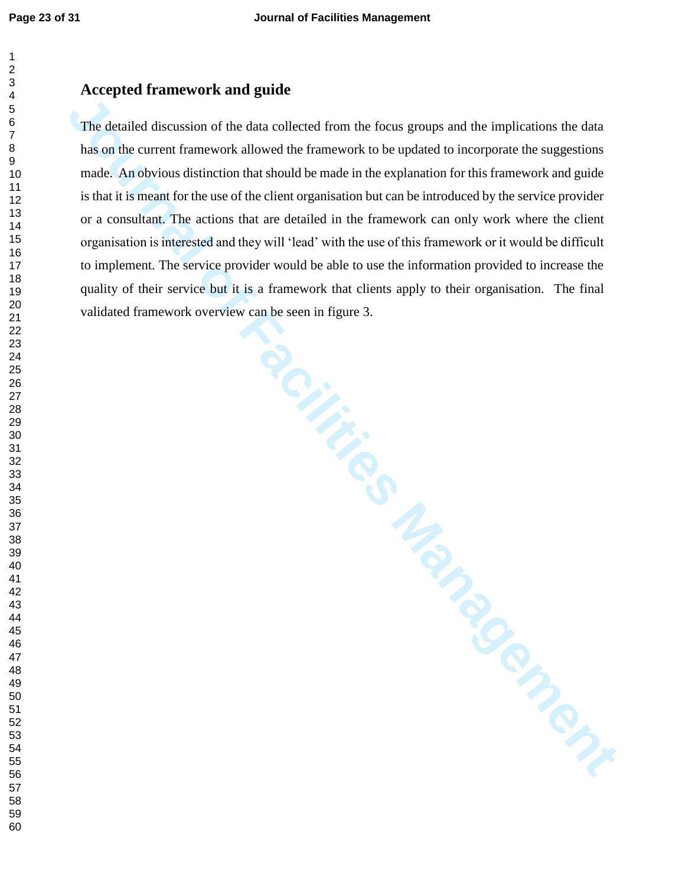### **Accepted framework and guide**

**Journal of Facilitation** of the dual collected from the focus groups and the implications the dual has on the current framework allowed the framework to be updated to incorporate the suggestions made. An obvions distincti The detailed discussion of the data collected from the focus groups and the implications the data has on the current framework allowed the framework to be updated to incorporate the suggestions made. An obvious distinction that should be made in the explanation for this framework and guide is that it is meant for the use of the client organisation but can be introduced by the service provider or a consultant. The actions that are detailed in the framework can only work where the client organisation is interested and they will 'lead' with the use of this framework or it would be difficult to implement. The service provider would be able to use the information provided to increase the quality of their service but it is a framework that clients apply to their organisation. The final validated framework overview can be seen in figure 3.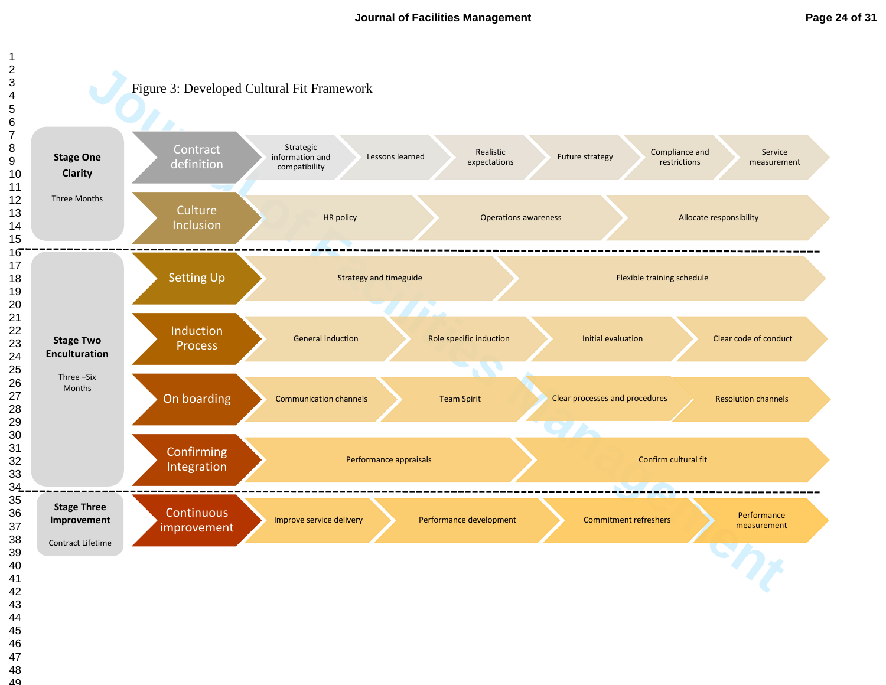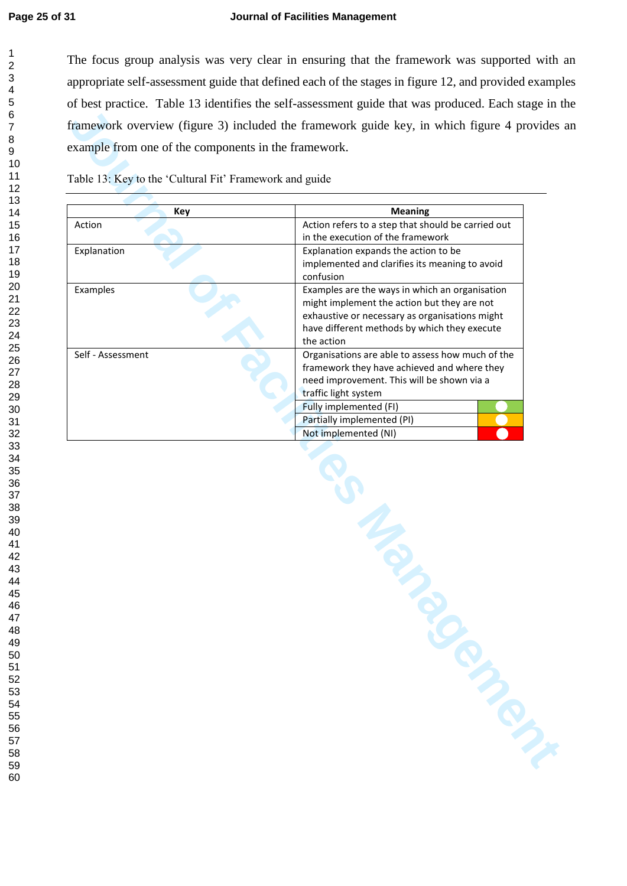#### **Page 25 of 31 Journal of Facilities Management**

The focus group analysis was very clear in ensuring that the framework was supported with an appropriate self-assessment guide that defined each of the stages in figure 12, and provided examples of best practice. Table 13 identifies the self-assessment guide that was produced. Each stage in the framework overview (figure 3) included the framework guide key, in which figure 4 provides an example from one of the components in the framework.

| Action            | Action refers to a step that should be carried out<br>in the execution of the framework<br>Explanation expands the action to be                                                                               |
|-------------------|---------------------------------------------------------------------------------------------------------------------------------------------------------------------------------------------------------------|
| Explanation       |                                                                                                                                                                                                               |
|                   | implemented and clarifies its meaning to avoid<br>confusion                                                                                                                                                   |
| Examples          | Examples are the ways in which an organisation<br>might implement the action but they are not<br>exhaustive or necessary as organisations might<br>have different methods by which they execute<br>the action |
| Self - Assessment | Organisations are able to assess how much of the<br>framework they have achieved and where they<br>need improvement. This will be shown via a<br>traffic light system                                         |
|                   | Fully implemented (FI)                                                                                                                                                                                        |
|                   | Partially implemented (PI)<br>Not implemented (NI)                                                                                                                                                            |
|                   | January 2014                                                                                                                                                                                                  |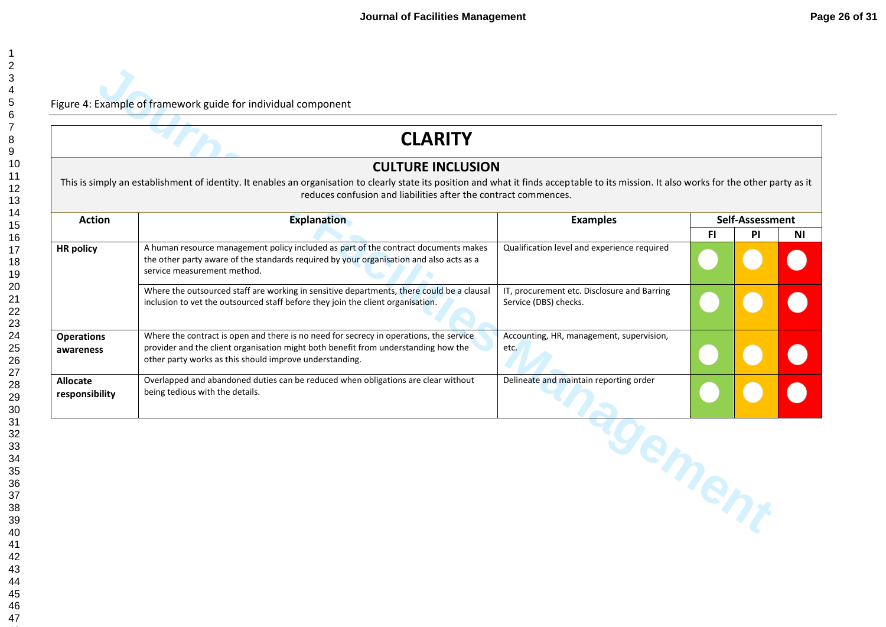|                                   | <b>CLARITY</b>                                                                                                                                                                                                                                                                            |                                                                      |     |                 |    |
|-----------------------------------|-------------------------------------------------------------------------------------------------------------------------------------------------------------------------------------------------------------------------------------------------------------------------------------------|----------------------------------------------------------------------|-----|-----------------|----|
|                                   | <b>CULTURE INCLUSION</b><br>This is simply an establishment of identity. It enables an organisation to clearly state its position and what it finds acceptable to its mission. It also works for the other party as it<br>reduces confusion and liabilities after the contract commences. |                                                                      |     |                 |    |
| <b>Action</b>                     | <b>Explanation</b>                                                                                                                                                                                                                                                                        | <b>Examples</b>                                                      |     | Self-Assessment |    |
| <b>HR</b> policy                  | A human resource management policy included as part of the contract documents makes<br>the other party aware of the standards required by your organisation and also acts as a<br>service measurement method.                                                                             | Qualification level and experience required                          | FI. | PI              | ΝI |
|                                   | Where the outsourced staff are working in sensitive departments, there could be a clausal<br>inclusion to vet the outsourced staff before they join the client organisation.                                                                                                              | IT, procurement etc. Disclosure and Barring<br>Service (DBS) checks. |     |                 |    |
| <b>Operations</b><br>awareness    | Where the contract is open and there is no need for secrecy in operations, the service<br>provider and the client organisation might both benefit from understanding how the<br>other party works as this should improve understanding.                                                   | Accounting, HR, management, supervision,<br>etc.                     |     |                 |    |
| <b>Allocate</b><br>responsibility | Overlapped and abandoned duties can be reduced when obligations are clear without<br>being tedious with the details.                                                                                                                                                                      | Delineate and maintain reporting order                               |     |                 |    |
|                                   |                                                                                                                                                                                                                                                                                           | gement                                                               |     |                 |    |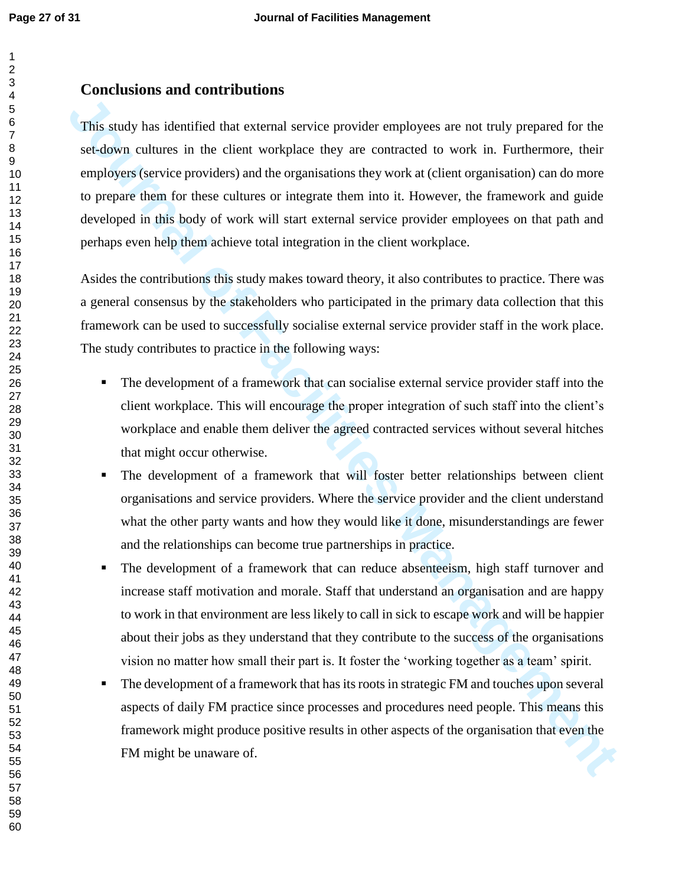**Journal of the Constrainer Constrainer (CON)** The distribution and the relationship and the relationship and the relationship and the relationship and the relationship and the relationship and the relationship and the rel This study has identified that external service provider employees are not truly prepared for the set-down cultures in the client workplace they are contracted to work in. Furthermore, their employers (service providers) and the organisations they work at (client organisation) can do more to prepare them for these cultures or integrate them into it. However, the framework and guide developed in this body of work will start external service provider employees on that path and perhaps even help them achieve total integration in the client workplace.

Asides the contributions this study makes toward theory, it also contributes to practice. There was a general consensus by the stakeholders who participated in the primary data collection that this framework can be used to successfully socialise external service provider staff in the work place. The study contributes to practice in the following ways:

- The development of a framework that can socialise external service provider staff into the client workplace. This will encourage the proper integration of such staff into the client's workplace and enable them deliver the agreed contracted services without several hitches that might occur otherwise.
- The development of a framework that will foster better relationships between client organisations and service providers. Where the service provider and the client understand what the other party wants and how they would like it done, misunderstandings are fewer and the relationships can become true partnerships in practice.
- The development of a framework that can reduce absenteeism, high staff turnover and increase staff motivation and morale. Staff that understand an organisation and are happy to work in that environment are less likely to call in sick to escape work and will be happier about their jobs as they understand that they contribute to the success of the organisations vision no matter how small their part is. It foster the 'working together as a team' spirit.
- The development of a framework that has its roots in strategic FM and touches upon several aspects of daily FM practice since processes and procedures need people. This means this framework might produce positive results in other aspects of the organisation that even the FM might be unaware of.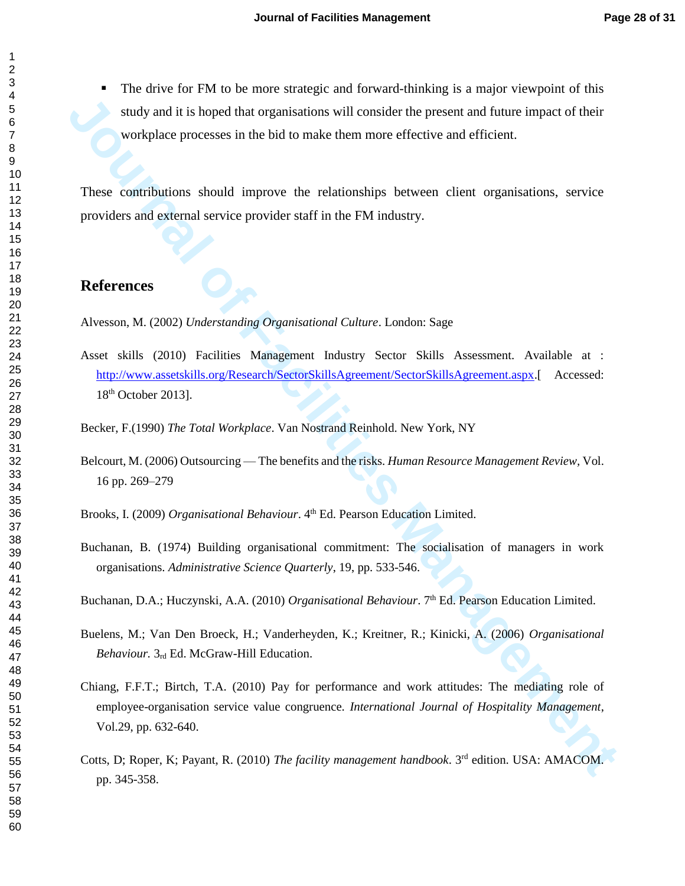The drive for FM to be more strategic and forward-thinking is a major viewpoint of this study and it is hoped that organisations will consider the present and future impact of their workplace processes in the bid to make them more effective and efficient.

These contributions should improve the relationships between client organisations, service providers and external service provider staff in the FM industry.

## **References**

Alvesson, M. (2002) *Understanding Organisational Culture*. London: Sage

**Journal of France Constrainers and Engine Constrainers will consider the present and future impact of their workplace processes in the bid to make them more effective and efficient.<br>
These contributions should improve the** Asset skills (2010) Facilities Management Industry Sector Skills Assessment. Available at : http://www.assetskills.org/Research/SectorSkillsAgreement/SectorSkillsAgreement.aspx.[ Accessed: th October 2013].

Becker, F.(1990) *The Total Workplace*. Van Nostrand Reinhold. New York, NY

Belcourt, M. (2006) Outsourcing — The benefits and the risks. *Human Resource Management Review,* Vol. 16 pp. 269–279

Brooks, I. (2009) *Organisational Behaviour*. 4<sup>th</sup> Ed. Pearson Education Limited.

Buchanan, B. (1974) Building organisational commitment: The socialisation of managers in work organisations. *Administrative Science Quarterly*, 19, pp. 533-546.

Buchanan, D.A.; Huczynski, A.A. (2010) *Organisational Behaviour*. 7<sup>th</sup> Ed. Pearson Education Limited.

- Buelens, M.; Van Den Broeck, H.; Vanderheyden, K.; Kreitner, R.; Kinicki, A. (2006) *Organisational Behaviour.* 3rd Ed. McGraw-Hill Education.
- Chiang, F.F.T.; Birtch, T.A. (2010) Pay for performance and work attitudes: The mediating role of employee-organisation service value congruence*. International Journal of Hospitality Management*, Vol.29, pp. 632-640.
- Cotts, D; Roper, K; Payant, R. (2010) *The facility management handbook*. 3rd edition. USA: AMACOM. pp. 345-358.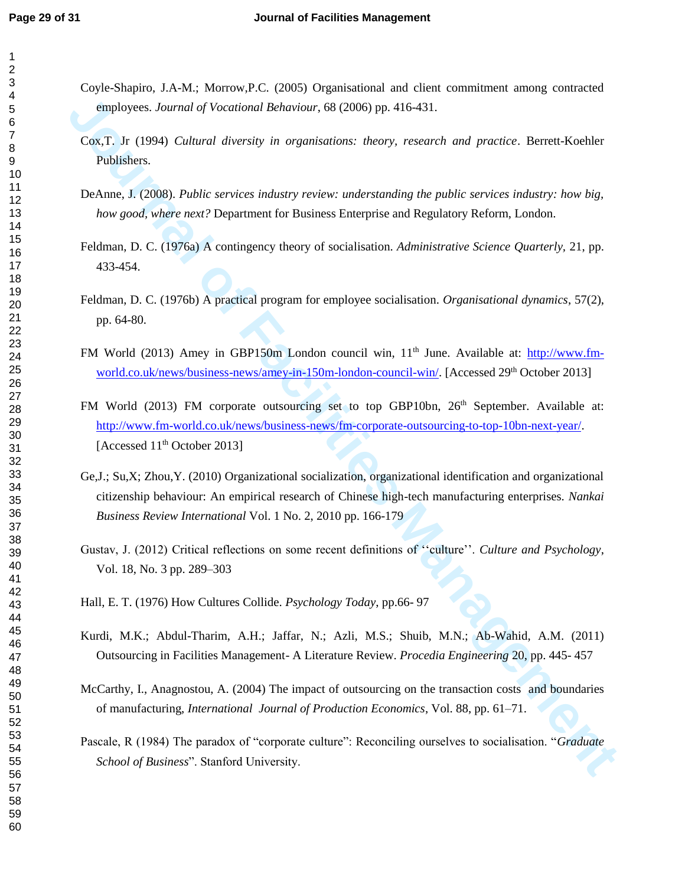- Coyle-Shapiro, J.A-M.; Morrow,P.C. (2005) Organisational and client commitment among contracted employees. *Journal of Vocational Behaviour*, 68 (2006) pp. 416-431.
- Cox,T. Jr (1994) *Cultural diversity in organisations: theory, research and practice*. Berrett-Koehler Publishers.
- DeAnne, J. (2008). *Public services industry review: understanding the public services industry: how big, how good, where next?* Department for Business Enterprise and Regulatory Reform, London.
- Feldman, D. C. (1976a) A contingency theory of socialisation. *Administrative Science Quarterly,* 21, pp. 433-454.
- Feldman, D. C. (1976b) A practical program for employee socialisation. *Organisational dynamics*, 57(2), pp. 64-80.
- FM World (2013) Amey in GBP150m London council win, 11<sup>th</sup> June. Available at: http://www.fmworld.co.uk/news/business-news/amey-in-150m-london-council-win/. [Accessed 29<sup>th</sup> October 2013]
- employees. Journal of Vocational Behaviour, 68 (2006) pp. 416-431.<br>
Cos.T. Jr (1994) Columni diversity in organisations: theory, research and practice. Beretts-Koehler Publishers.<br>
DeAma<sub>gement</sub> (1996) Columni diversity in FM World (2013) FM corporate outsourcing set to top GBP10bn, 26<sup>th</sup> September. Available at: http://www.fm-world.co.uk/news/business-news/fm-corporate-outsourcing-to-top-10bn-next-year/. [Accessed 11<sup>th</sup> October 2013]
	- Ge,J.; Su,X; Zhou,Y. (2010) Organizational socialization, organizational identification and organizational citizenship behaviour: An empirical research of Chinese high-tech manufacturing enterprises*. Nankai Business Review International* Vol. 1 No. 2, 2010 pp. 166-179
	- Gustav, J. (2012) Critical reflections on some recent definitions of ''culture''. *Culture and Psychology*, Vol. 18, No. 3 pp. 289–303
	- Hall, E. T. (1976) How Cultures Collide. *Psychology Today*, pp.66- 97
	- Kurdi, M.K.; Abdul-Tharim, A.H.; Jaffar, N.; Azli, M.S.; Shuib, M.N.; Ab-Wahid, A.M. (2011) Outsourcing in Facilities Management- A Literature Review. *Procedia Engineering* 20, pp. 445- 457
	- McCarthy, I., Anagnostou, A. (2004) The impact of outsourcing on the transaction costs and boundaries of manufacturing, *International Journal of Production Economics*, Vol. 88, pp. 61–71.
	- Pascale, R (1984) The paradox of "corporate culture": Reconciling ourselves to socialisation. "*Graduate School of Business*". Stanford University.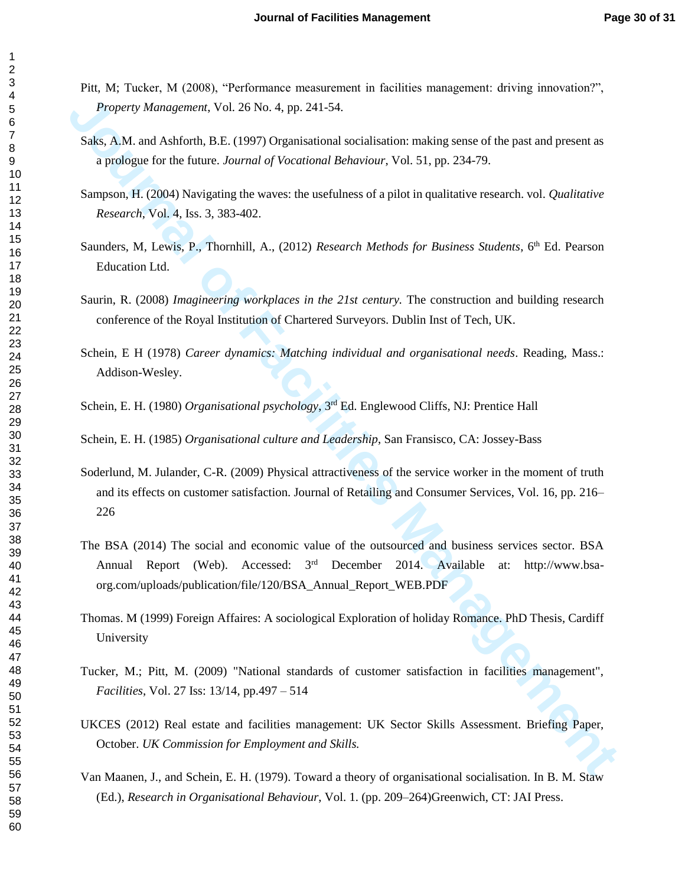- Pitt, M; Tucker, M (2008), "Performance measurement in facilities management: driving innovation?", *Property Management*, Vol. 26 No. 4, pp. 241-54.
- Saks, A.M. and Ashforth, B.E. (1997) Organisational socialisation: making sense of the past and present as a prologue for the future. *Journal of Vocational Behaviour*, Vol. 51, pp. 234-79.
- Sampson, H. (2004) Navigating the waves: the usefulness of a pilot in qualitative research. vol. *Qualitative Research*, Vol. 4, Iss. 3, 383-402.
- Saunders, M, Lewis, P., Thornhill, A., (2012) *Research Methods for Business Students*, 6<sup>th</sup> Ed. Pearson Education Ltd.
- Saurin, R. (2008) *Imagineering workplaces in the 21st century.* The construction and building research conference of the Royal Institution of Chartered Surveyors. Dublin Inst of Tech, UK.
- Schein, E H (1978) *Career dynamics: Matching individual and organisational needs*. Reading, Mass.: Addison-Wesley.
- Schein, E. H. (1980) *Organisational psychology*, 3<sup>rd</sup> Ed. Englewood Cliffs, NJ: Prentice Hall
- Schein, E. H. (1985) *Organisational culture and Leadership*, San Fransisco, CA: Jossey-Bass
- Soderlund, M. Julander, C-R. (2009) Physical attractiveness of the service worker in the moment of truth and its effects on customer satisfaction. Journal of Retailing and Consumer Services, Vol. 16, pp. 216–
- *Property Management, Vol. 26 No.* 4, pp. 241-54.<br>
Saks, A.M. and Advisoria, B.F. (1997) Organisational socialisation: making sense of the past and present as<br>
a probleme of the future. Journal of Precedionts Reheriour, Vo The BSA (2014) The social and economic value of the outsourced and business services sector. BSA Annual Report (Web). Accessed: 3<sup>rd</sup> December 2014. Available at: http://www.bsaorg.com/uploads/publication/file/120/BSA\_Annual\_Report\_WEB.PDF
	- Thomas. M (1999) Foreign Affaires: A sociological Exploration of holiday Romance. PhD Thesis, Cardiff University
	- Tucker, M.; Pitt, M. (2009) "National standards of customer satisfaction in facilities management", *Facilities*, Vol. 27 Iss: 13/14, pp.497 – 514
	- UKCES (2012) Real estate and facilities management: UK Sector Skills Assessment. Briefing Paper, October. *UK Commission for Employment and Skills.*
	- Van Maanen, J., and Schein, E. H. (1979). Toward a theory of organisational socialisation. In B. M. Staw (Ed.), *Research in Organisational Behaviour*, Vol. 1. (pp. 209–264)Greenwich, CT: JAI Press.